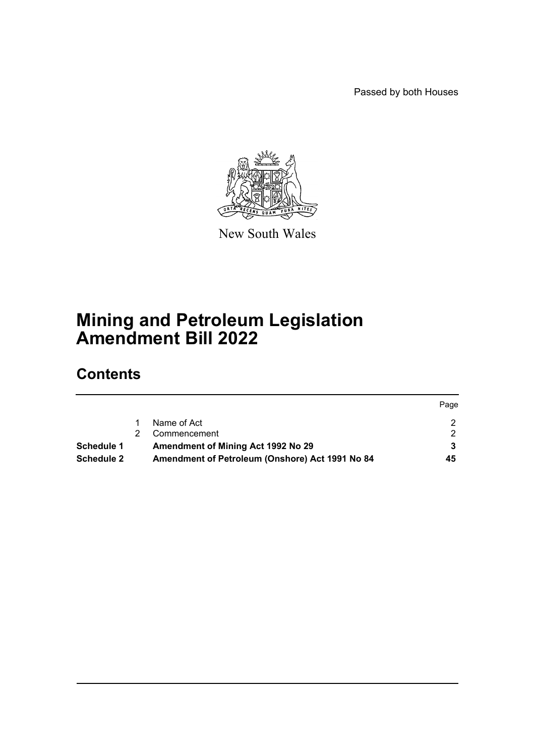Passed by both Houses



New South Wales

# **Mining and Petroleum Legislation Amendment Bill 2022**

# **Contents**

|                   |                                                 | Page |
|-------------------|-------------------------------------------------|------|
|                   | Name of Act                                     |      |
|                   | Commencement                                    |      |
| <b>Schedule 1</b> | Amendment of Mining Act 1992 No 29              |      |
| <b>Schedule 2</b> | Amendment of Petroleum (Onshore) Act 1991 No 84 | 45   |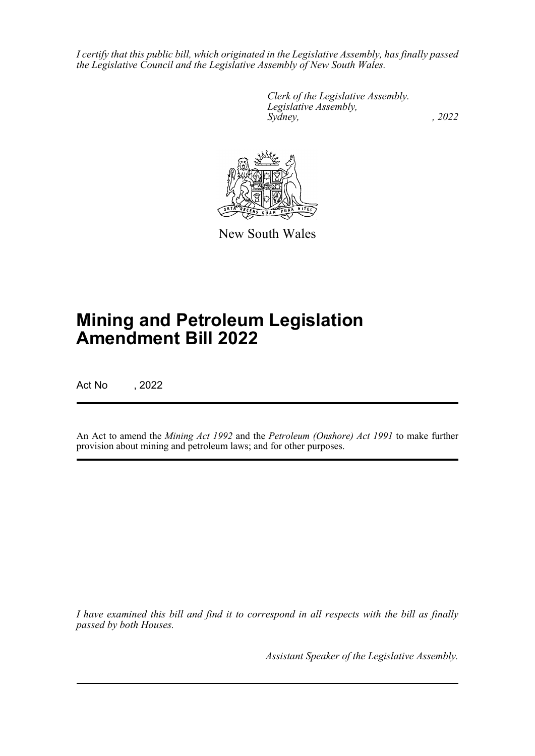*I certify that this public bill, which originated in the Legislative Assembly, has finally passed the Legislative Council and the Legislative Assembly of New South Wales.*

> *Clerk of the Legislative Assembly. Legislative Assembly, Sydney, , 2022*



New South Wales

# **Mining and Petroleum Legislation Amendment Bill 2022**

Act No , 2022

An Act to amend the *Mining Act 1992* and the *Petroleum (Onshore) Act 1991* to make further provision about mining and petroleum laws; and for other purposes.

*I have examined this bill and find it to correspond in all respects with the bill as finally passed by both Houses.*

*Assistant Speaker of the Legislative Assembly.*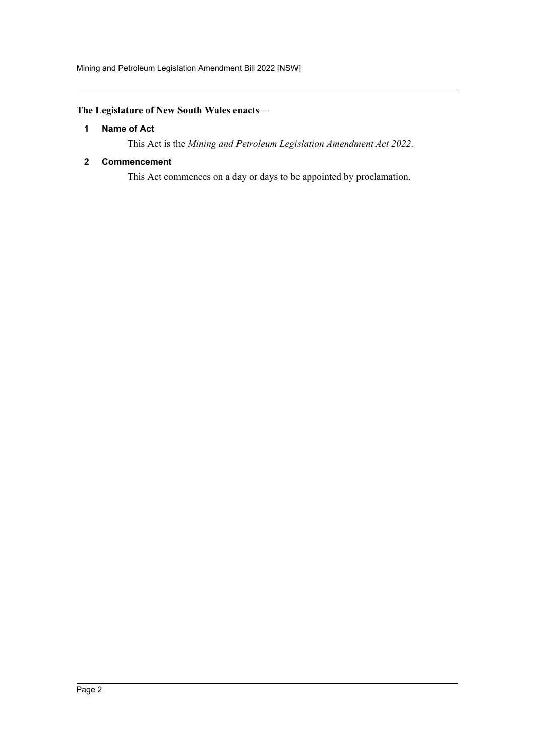Mining and Petroleum Legislation Amendment Bill 2022 [NSW]

# <span id="page-2-0"></span>**The Legislature of New South Wales enacts—**

#### **1 Name of Act**

This Act is the *Mining and Petroleum Legislation Amendment Act 2022*.

#### <span id="page-2-1"></span>**2 Commencement**

This Act commences on a day or days to be appointed by proclamation.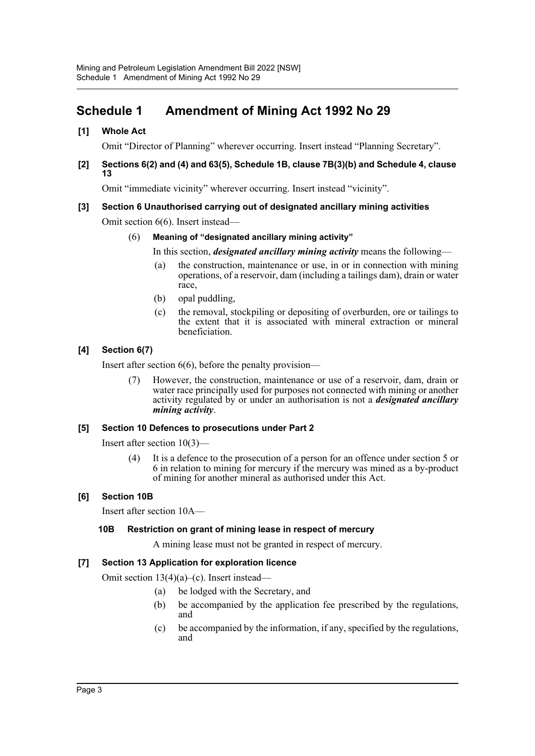# <span id="page-3-0"></span>**Schedule 1 Amendment of Mining Act 1992 No 29**

#### **[1] Whole Act**

Omit "Director of Planning" wherever occurring. Insert instead "Planning Secretary".

#### **[2] Sections 6(2) and (4) and 63(5), Schedule 1B, clause 7B(3)(b) and Schedule 4, clause 13**

Omit "immediate vicinity" wherever occurring. Insert instead "vicinity".

#### **[3] Section 6 Unauthorised carrying out of designated ancillary mining activities**

Omit section 6(6). Insert instead—

#### (6) **Meaning of "designated ancillary mining activity"**

In this section, *designated ancillary mining activity* means the following—

- (a) the construction, maintenance or use, in or in connection with mining operations, of a reservoir, dam (including a tailings dam), drain or water race,
- (b) opal puddling,
- (c) the removal, stockpiling or depositing of overburden, ore or tailings to the extent that it is associated with mineral extraction or mineral beneficiation.

#### **[4] Section 6(7)**

Insert after section 6(6), before the penalty provision—

(7) However, the construction, maintenance or use of a reservoir, dam, drain or water race principally used for purposes not connected with mining or another activity regulated by or under an authorisation is not a *designated ancillary mining activity*.

#### **[5] Section 10 Defences to prosecutions under Part 2**

Insert after section 10(3)—

(4) It is a defence to the prosecution of a person for an offence under section 5 or 6 in relation to mining for mercury if the mercury was mined as a by-product of mining for another mineral as authorised under this Act.

#### **[6] Section 10B**

Insert after section 10A—

#### **10B Restriction on grant of mining lease in respect of mercury**

A mining lease must not be granted in respect of mercury.

#### **[7] Section 13 Application for exploration licence**

Omit section 13(4)(a)–(c). Insert instead—

- (a) be lodged with the Secretary, and
- (b) be accompanied by the application fee prescribed by the regulations, and
- (c) be accompanied by the information, if any, specified by the regulations, and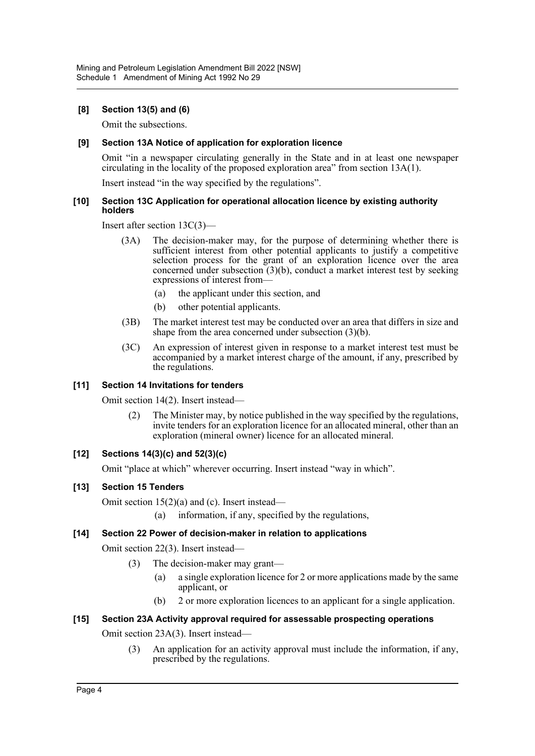#### **[8] Section 13(5) and (6)**

Omit the subsections.

#### **[9] Section 13A Notice of application for exploration licence**

Omit "in a newspaper circulating generally in the State and in at least one newspaper circulating in the locality of the proposed exploration area" from section 13A(1).

Insert instead "in the way specified by the regulations".

#### **[10] Section 13C Application for operational allocation licence by existing authority holders**

Insert after section 13C(3)—

- (3A) The decision-maker may, for the purpose of determining whether there is sufficient interest from other potential applicants to justify a competitive selection process for the grant of an exploration licence over the area concerned under subsection  $(3)(b)$ , conduct a market interest test by seeking expressions of interest from—
	- (a) the applicant under this section, and
	- (b) other potential applicants.
- (3B) The market interest test may be conducted over an area that differs in size and shape from the area concerned under subsection (3)(b).
- (3C) An expression of interest given in response to a market interest test must be accompanied by a market interest charge of the amount, if any, prescribed by the regulations.

#### **[11] Section 14 Invitations for tenders**

Omit section 14(2). Insert instead—

(2) The Minister may, by notice published in the way specified by the regulations, invite tenders for an exploration licence for an allocated mineral, other than an exploration (mineral owner) licence for an allocated mineral.

#### **[12] Sections 14(3)(c) and 52(3)(c)**

Omit "place at which" wherever occurring. Insert instead "way in which".

#### **[13] Section 15 Tenders**

Omit section 15(2)(a) and (c). Insert instead—

(a) information, if any, specified by the regulations,

#### **[14] Section 22 Power of decision-maker in relation to applications**

Omit section 22(3). Insert instead—

- (3) The decision-maker may grant—
	- (a) a single exploration licence for 2 or more applications made by the same applicant, or
	- (b) 2 or more exploration licences to an applicant for a single application.

# **[15] Section 23A Activity approval required for assessable prospecting operations**

Omit section 23A(3). Insert instead—

(3) An application for an activity approval must include the information, if any, prescribed by the regulations.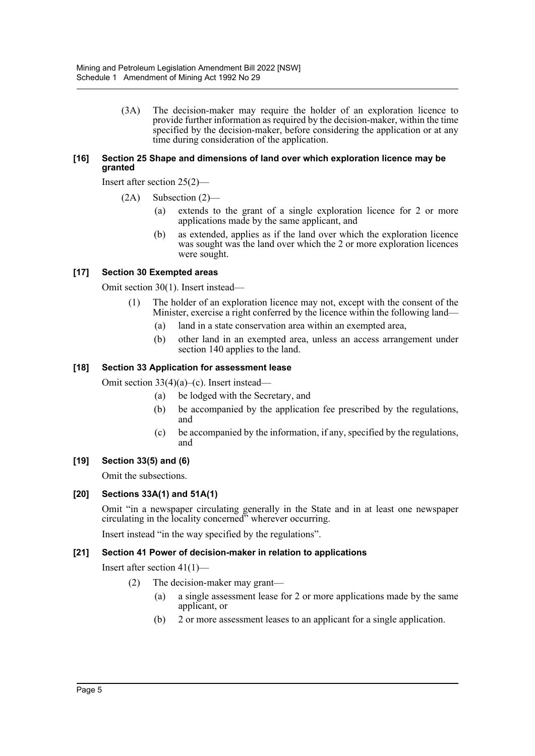(3A) The decision-maker may require the holder of an exploration licence to provide further information as required by the decision-maker, within the time specified by the decision-maker, before considering the application or at any time during consideration of the application.

#### **[16] Section 25 Shape and dimensions of land over which exploration licence may be granted**

Insert after section 25(2)—

- (2A) Subsection (2)—
	- (a) extends to the grant of a single exploration licence for 2 or more applications made by the same applicant, and
	- (b) as extended, applies as if the land over which the exploration licence was sought was the land over which the 2 or more exploration licences were sought.

#### **[17] Section 30 Exempted areas**

Omit section 30(1). Insert instead—

- (1) The holder of an exploration licence may not, except with the consent of the Minister, exercise a right conferred by the licence within the following land—
	- (a) land in a state conservation area within an exempted area,
	- (b) other land in an exempted area, unless an access arrangement under section 140 applies to the land.

#### **[18] Section 33 Application for assessment lease**

Omit section 33(4)(a)–(c). Insert instead—

- (a) be lodged with the Secretary, and
- (b) be accompanied by the application fee prescribed by the regulations, and
- (c) be accompanied by the information, if any, specified by the regulations, and

#### **[19] Section 33(5) and (6)**

Omit the subsections.

#### **[20] Sections 33A(1) and 51A(1)**

Omit "in a newspaper circulating generally in the State and in at least one newspaper circulating in the locality concerned" wherever occurring.

Insert instead "in the way specified by the regulations".

#### **[21] Section 41 Power of decision-maker in relation to applications**

Insert after section 41(1)—

- (2) The decision-maker may grant—
	- (a) a single assessment lease for 2 or more applications made by the same applicant, or
	- (b) 2 or more assessment leases to an applicant for a single application.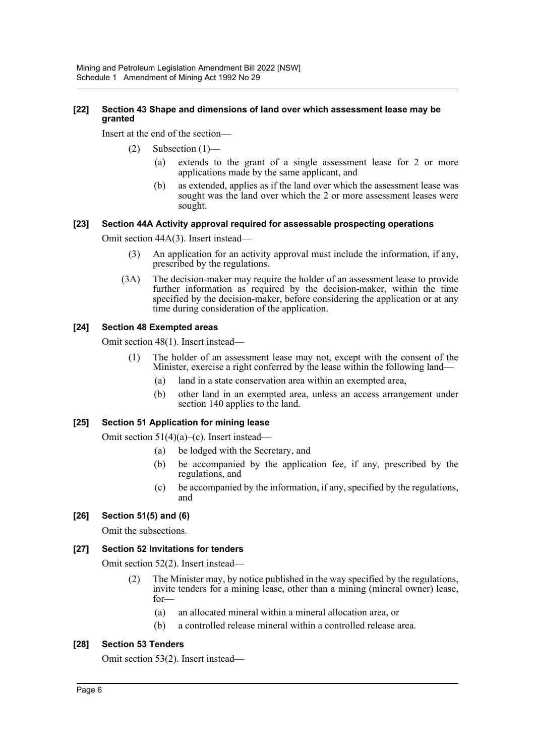#### **[22] Section 43 Shape and dimensions of land over which assessment lease may be granted**

Insert at the end of the section—

- (2) Subsection (1)—
	- (a) extends to the grant of a single assessment lease for 2 or more applications made by the same applicant, and
	- (b) as extended, applies as if the land over which the assessment lease was sought was the land over which the 2 or more assessment leases were sought.

#### **[23] Section 44A Activity approval required for assessable prospecting operations**

Omit section 44A(3). Insert instead—

- (3) An application for an activity approval must include the information, if any, prescribed by the regulations.
- (3A) The decision-maker may require the holder of an assessment lease to provide further information as required by the decision-maker, within the time specified by the decision-maker, before considering the application or at any time during consideration of the application.

#### **[24] Section 48 Exempted areas**

Omit section 48(1). Insert instead—

- (1) The holder of an assessment lease may not, except with the consent of the Minister, exercise a right conferred by the lease within the following land—
	- (a) land in a state conservation area within an exempted area,
	- (b) other land in an exempted area, unless an access arrangement under section 140 applies to the land.

#### **[25] Section 51 Application for mining lease**

Omit section 51(4)(a)–(c). Insert instead—

- (a) be lodged with the Secretary, and
- (b) be accompanied by the application fee, if any, prescribed by the regulations, and
- (c) be accompanied by the information, if any, specified by the regulations, and

#### **[26] Section 51(5) and (6)**

Omit the subsections.

#### **[27] Section 52 Invitations for tenders**

Omit section 52(2). Insert instead—

- (2) The Minister may, by notice published in the way specified by the regulations, invite tenders for a mining lease, other than a mining (mineral owner) lease, for—
	- (a) an allocated mineral within a mineral allocation area, or
	- (b) a controlled release mineral within a controlled release area.

#### **[28] Section 53 Tenders**

Omit section 53(2). Insert instead—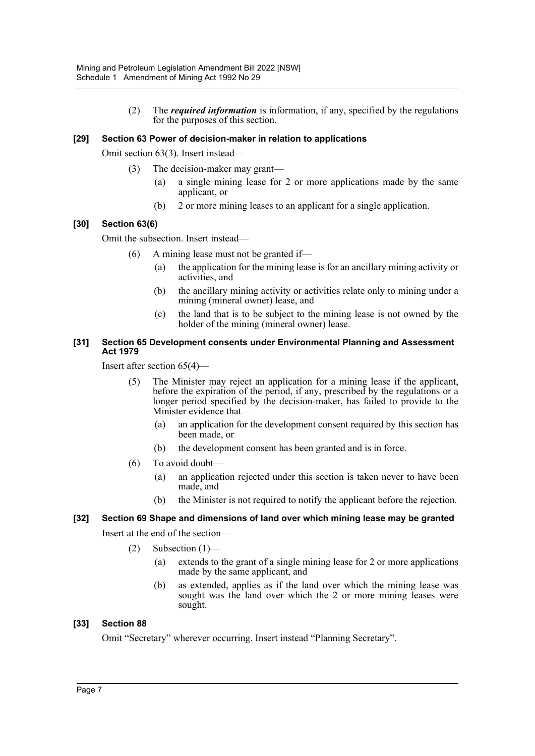(2) The *required information* is information, if any, specified by the regulations for the purposes of this section.

#### **[29] Section 63 Power of decision-maker in relation to applications**

Omit section 63(3). Insert instead—

- (3) The decision-maker may grant—
	- (a) a single mining lease for 2 or more applications made by the same applicant, or
	- (b) 2 or more mining leases to an applicant for a single application.

#### **[30] Section 63(6)**

Omit the subsection. Insert instead—

- (6) A mining lease must not be granted if—
	- (a) the application for the mining lease is for an ancillary mining activity or activities, and
	- (b) the ancillary mining activity or activities relate only to mining under a mining (mineral owner) lease, and
	- (c) the land that is to be subject to the mining lease is not owned by the holder of the mining (mineral owner) lease.

#### **[31] Section 65 Development consents under Environmental Planning and Assessment Act 1979**

Insert after section 65(4)—

- (5) The Minister may reject an application for a mining lease if the applicant, before the expiration of the period, if any, prescribed by the regulations or a longer period specified by the decision-maker, has failed to provide to the Minister evidence that—
	- (a) an application for the development consent required by this section has been made, or
	- (b) the development consent has been granted and is in force.
- (6) To avoid doubt—
	- (a) an application rejected under this section is taken never to have been made, and
	- (b) the Minister is not required to notify the applicant before the rejection.

## **[32] Section 69 Shape and dimensions of land over which mining lease may be granted** Insert at the end of the section—

- $(2)$  Subsection  $(1)$ 
	- (a) extends to the grant of a single mining lease for 2 or more applications made by the same applicant, and
	- (b) as extended, applies as if the land over which the mining lease was sought was the land over which the 2 or more mining leases were sought.

#### **[33] Section 88**

Omit "Secretary" wherever occurring. Insert instead "Planning Secretary".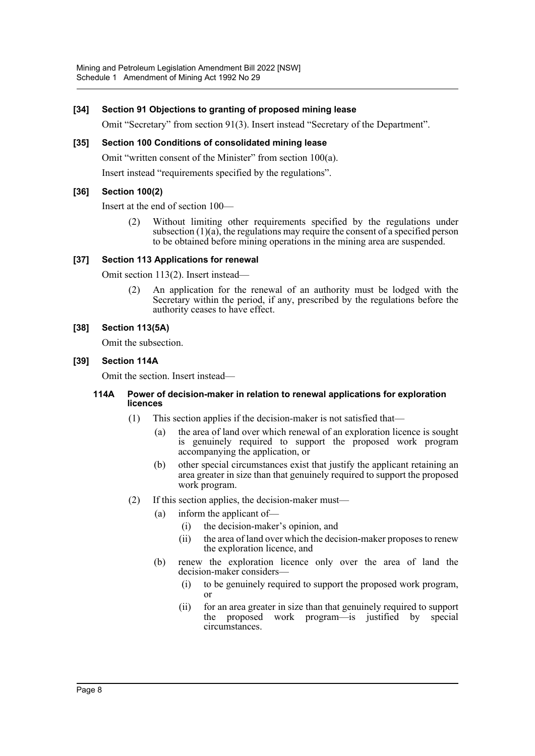#### **[34] Section 91 Objections to granting of proposed mining lease**

Omit "Secretary" from section 91(3). Insert instead "Secretary of the Department".

#### **[35] Section 100 Conditions of consolidated mining lease**

Omit "written consent of the Minister" from section 100(a).

Insert instead "requirements specified by the regulations".

#### **[36] Section 100(2)**

Insert at the end of section 100—

(2) Without limiting other requirements specified by the regulations under subsection  $(1)(a)$ , the regulations may require the consent of a specified person to be obtained before mining operations in the mining area are suspended.

#### **[37] Section 113 Applications for renewal**

Omit section 113(2). Insert instead—

(2) An application for the renewal of an authority must be lodged with the Secretary within the period, if any, prescribed by the regulations before the authority ceases to have effect.

#### **[38] Section 113(5A)**

Omit the subsection.

#### **[39] Section 114A**

Omit the section. Insert instead—

#### **114A Power of decision-maker in relation to renewal applications for exploration licences**

- (1) This section applies if the decision-maker is not satisfied that—
	- (a) the area of land over which renewal of an exploration licence is sought is genuinely required to support the proposed work program accompanying the application, or
	- (b) other special circumstances exist that justify the applicant retaining an area greater in size than that genuinely required to support the proposed work program.
- (2) If this section applies, the decision-maker must—
	- (a) inform the applicant of—
		- (i) the decision-maker's opinion, and
		- (ii) the area of land over which the decision-maker proposes to renew the exploration licence, and
		- (b) renew the exploration licence only over the area of land the decision-maker considers—
			- (i) to be genuinely required to support the proposed work program, or
			- (ii) for an area greater in size than that genuinely required to support the proposed work program—is justified by special circumstances.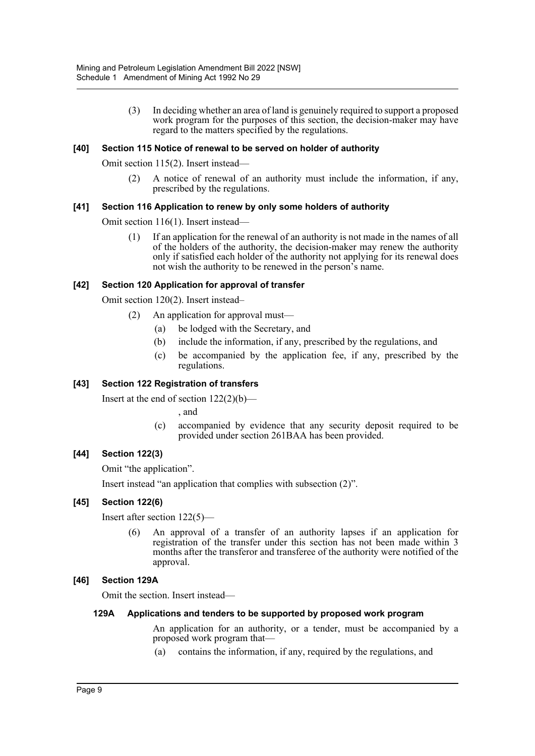(3) In deciding whether an area of land is genuinely required to support a proposed work program for the purposes of this section, the decision-maker may have regard to the matters specified by the regulations.

#### **[40] Section 115 Notice of renewal to be served on holder of authority**

Omit section 115(2). Insert instead—

(2) A notice of renewal of an authority must include the information, if any, prescribed by the regulations.

#### **[41] Section 116 Application to renew by only some holders of authority**

Omit section 116(1). Insert instead—

(1) If an application for the renewal of an authority is not made in the names of all of the holders of the authority, the decision-maker may renew the authority only if satisfied each holder of the authority not applying for its renewal does not wish the authority to be renewed in the person's name.

#### **[42] Section 120 Application for approval of transfer**

Omit section 120(2). Insert instead–

- (2) An application for approval must—
	- (a) be lodged with the Secretary, and
	- (b) include the information, if any, prescribed by the regulations, and
	- (c) be accompanied by the application fee, if any, prescribed by the regulations.

#### **[43] Section 122 Registration of transfers**

Insert at the end of section 122(2)(b)—

, and

(c) accompanied by evidence that any security deposit required to be provided under section 261BAA has been provided.

#### **[44] Section 122(3)**

Omit "the application".

Insert instead "an application that complies with subsection (2)".

#### **[45] Section 122(6)**

Insert after section 122(5)—

(6) An approval of a transfer of an authority lapses if an application for registration of the transfer under this section has not been made within 3 months after the transferor and transferee of the authority were notified of the approval.

#### **[46] Section 129A**

Omit the section. Insert instead—

#### **129A Applications and tenders to be supported by proposed work program**

An application for an authority, or a tender, must be accompanied by a proposed work program that—

(a) contains the information, if any, required by the regulations, and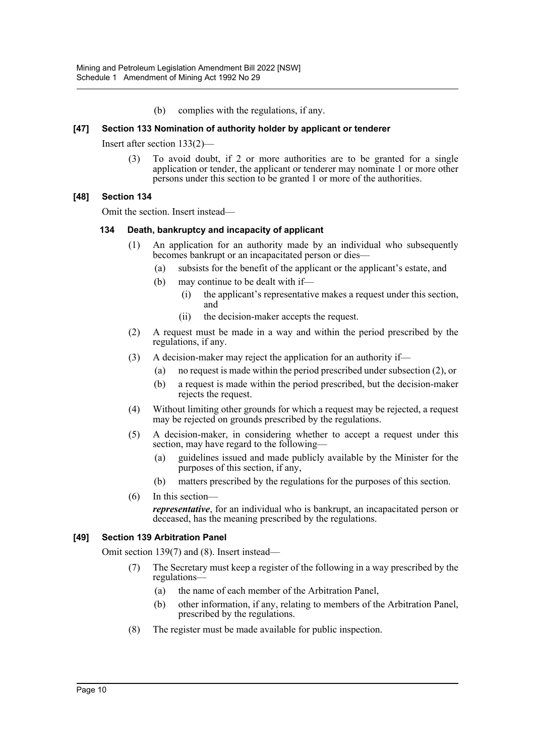(b) complies with the regulations, if any.

#### **[47] Section 133 Nomination of authority holder by applicant or tenderer**

Insert after section 133(2)—

(3) To avoid doubt, if 2 or more authorities are to be granted for a single application or tender, the applicant or tenderer may nominate 1 or more other persons under this section to be granted 1 or more of the authorities.

#### **[48] Section 134**

Omit the section. Insert instead—

#### **134 Death, bankruptcy and incapacity of applicant**

- (1) An application for an authority made by an individual who subsequently becomes bankrupt or an incapacitated person or dies—
	- (a) subsists for the benefit of the applicant or the applicant's estate, and
	- (b) may continue to be dealt with if—
		- (i) the applicant's representative makes a request under this section, and
		- (ii) the decision-maker accepts the request.
- (2) A request must be made in a way and within the period prescribed by the regulations, if any.
- (3) A decision-maker may reject the application for an authority if—
	- (a) no request is made within the period prescribed under subsection (2), or
	- (b) a request is made within the period prescribed, but the decision-maker rejects the request.
- (4) Without limiting other grounds for which a request may be rejected, a request may be rejected on grounds prescribed by the regulations.
- (5) A decision-maker, in considering whether to accept a request under this section, may have regard to the following—
	- (a) guidelines issued and made publicly available by the Minister for the purposes of this section, if any,
	- (b) matters prescribed by the regulations for the purposes of this section.
- (6) In this section—

*representative*, for an individual who is bankrupt, an incapacitated person or deceased, has the meaning prescribed by the regulations.

#### **[49] Section 139 Arbitration Panel**

Omit section 139(7) and (8). Insert instead—

- (7) The Secretary must keep a register of the following in a way prescribed by the regulations—
	- (a) the name of each member of the Arbitration Panel,
	- (b) other information, if any, relating to members of the Arbitration Panel, prescribed by the regulations.
- (8) The register must be made available for public inspection.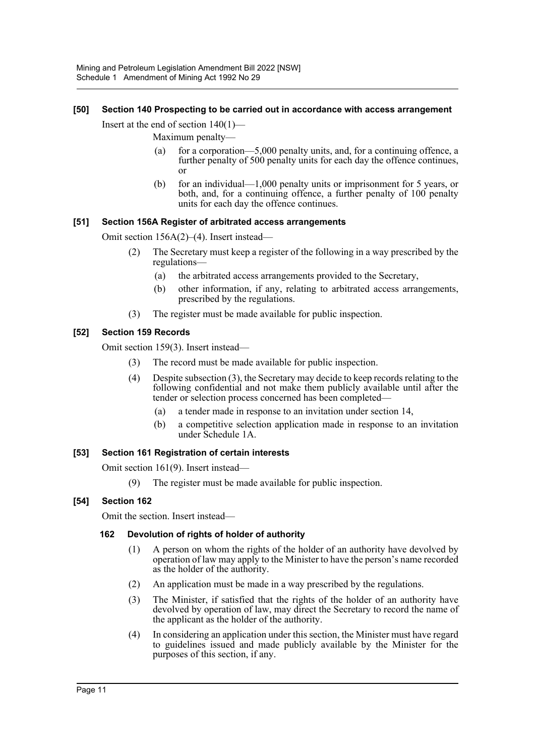#### **[50] Section 140 Prospecting to be carried out in accordance with access arrangement**

Insert at the end of section 140(1)—

Maximum penalty—

- (a) for a corporation—5,000 penalty units, and, for a continuing offence, a further penalty of 500 penalty units for each day the offence continues, or
- (b) for an individual—1,000 penalty units or imprisonment for 5 years, or both, and, for a continuing offence, a further penalty of 100 penalty units for each day the offence continues.

#### **[51] Section 156A Register of arbitrated access arrangements**

Omit section 156A(2)–(4). Insert instead—

- (2) The Secretary must keep a register of the following in a way prescribed by the regulations—
	- (a) the arbitrated access arrangements provided to the Secretary,
	- (b) other information, if any, relating to arbitrated access arrangements, prescribed by the regulations.
- (3) The register must be made available for public inspection.

#### **[52] Section 159 Records**

Omit section 159(3). Insert instead—

- (3) The record must be made available for public inspection.
- (4) Despite subsection (3), the Secretary may decide to keep records relating to the following confidential and not make them publicly available until after the tender or selection process concerned has been completed—
	- (a) a tender made in response to an invitation under section 14,
	- (b) a competitive selection application made in response to an invitation under Schedule 1A.

#### **[53] Section 161 Registration of certain interests**

Omit section 161(9). Insert instead—

(9) The register must be made available for public inspection.

#### **[54] Section 162**

Omit the section. Insert instead—

#### **162 Devolution of rights of holder of authority**

- (1) A person on whom the rights of the holder of an authority have devolved by operation of law may apply to the Minister to have the person's name recorded as the holder of the authority.
- (2) An application must be made in a way prescribed by the regulations.
- (3) The Minister, if satisfied that the rights of the holder of an authority have devolved by operation of law, may direct the Secretary to record the name of the applicant as the holder of the authority.
- (4) In considering an application under this section, the Minister must have regard to guidelines issued and made publicly available by the Minister for the purposes of this section, if any.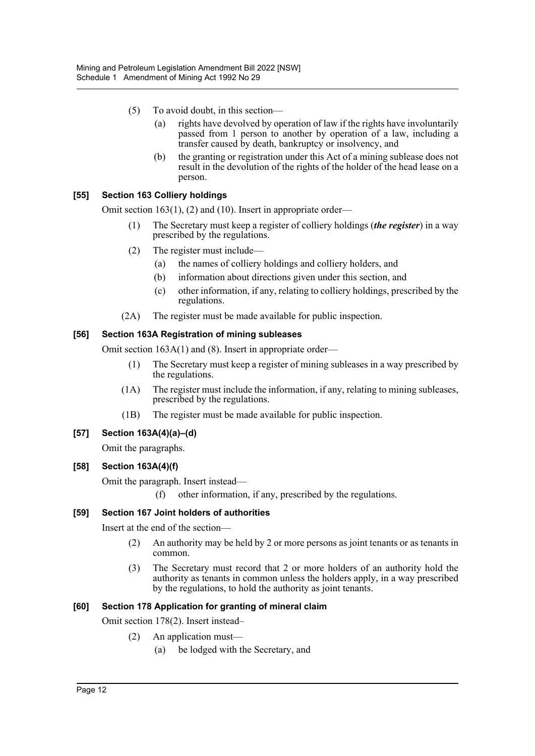- (5) To avoid doubt, in this section—
	- (a) rights have devolved by operation of law if the rights have involuntarily passed from 1 person to another by operation of a law, including a transfer caused by death, bankruptcy or insolvency, and
	- (b) the granting or registration under this Act of a mining sublease does not result in the devolution of the rights of the holder of the head lease on a person.

#### **[55] Section 163 Colliery holdings**

Omit section 163(1), (2) and (10). Insert in appropriate order—

- (1) The Secretary must keep a register of colliery holdings (*the register*) in a way prescribed by the regulations.
- (2) The register must include—
	- (a) the names of colliery holdings and colliery holders, and
	- (b) information about directions given under this section, and
	- (c) other information, if any, relating to colliery holdings, prescribed by the regulations.
- (2A) The register must be made available for public inspection.

#### **[56] Section 163A Registration of mining subleases**

Omit section 163A(1) and (8). Insert in appropriate order—

- (1) The Secretary must keep a register of mining subleases in a way prescribed by the regulations.
- (1A) The register must include the information, if any, relating to mining subleases, prescribed by the regulations.
- (1B) The register must be made available for public inspection.

#### **[57] Section 163A(4)(a)–(d)**

Omit the paragraphs.

#### **[58] Section 163A(4)(f)**

Omit the paragraph. Insert instead—

(f) other information, if any, prescribed by the regulations.

#### **[59] Section 167 Joint holders of authorities**

Insert at the end of the section—

- (2) An authority may be held by 2 or more persons as joint tenants or as tenants in common.
- (3) The Secretary must record that 2 or more holders of an authority hold the authority as tenants in common unless the holders apply, in a way prescribed by the regulations, to hold the authority as joint tenants.

#### **[60] Section 178 Application for granting of mineral claim**

Omit section 178(2). Insert instead–

- (2) An application must—
	- (a) be lodged with the Secretary, and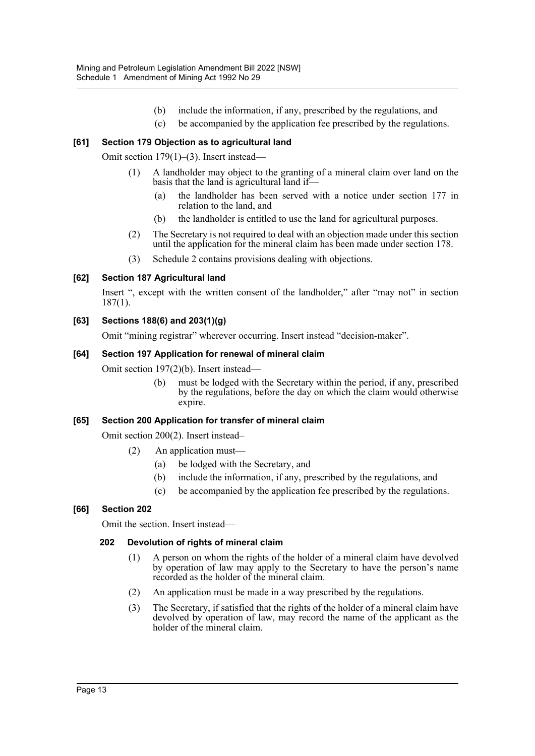- (b) include the information, if any, prescribed by the regulations, and
- (c) be accompanied by the application fee prescribed by the regulations.

## **[61] Section 179 Objection as to agricultural land**

Omit section 179(1)–(3). Insert instead—

- (1) A landholder may object to the granting of a mineral claim over land on the basis that the land is agricultural land if-
	- (a) the landholder has been served with a notice under section 177 in relation to the land, and
	- (b) the landholder is entitled to use the land for agricultural purposes.
- (2) The Secretary is not required to deal with an objection made under this section until the application for the mineral claim has been made under section 178.
- (3) Schedule 2 contains provisions dealing with objections.

#### **[62] Section 187 Agricultural land**

Insert ", except with the written consent of the landholder," after "may not" in section 187(1).

#### **[63] Sections 188(6) and 203(1)(g)**

Omit "mining registrar" wherever occurring. Insert instead "decision-maker".

#### **[64] Section 197 Application for renewal of mineral claim**

Omit section 197(2)(b). Insert instead—

(b) must be lodged with the Secretary within the period, if any, prescribed by the regulations, before the day on which the claim would otherwise expire.

#### **[65] Section 200 Application for transfer of mineral claim**

Omit section 200(2). Insert instead–

- (2) An application must—
	- (a) be lodged with the Secretary, and
	- (b) include the information, if any, prescribed by the regulations, and
	- (c) be accompanied by the application fee prescribed by the regulations.

#### **[66] Section 202**

Omit the section. Insert instead—

#### **202 Devolution of rights of mineral claim**

- (1) A person on whom the rights of the holder of a mineral claim have devolved by operation of law may apply to the Secretary to have the person's name recorded as the holder of the mineral claim.
- (2) An application must be made in a way prescribed by the regulations.
- (3) The Secretary, if satisfied that the rights of the holder of a mineral claim have devolved by operation of law, may record the name of the applicant as the holder of the mineral claim.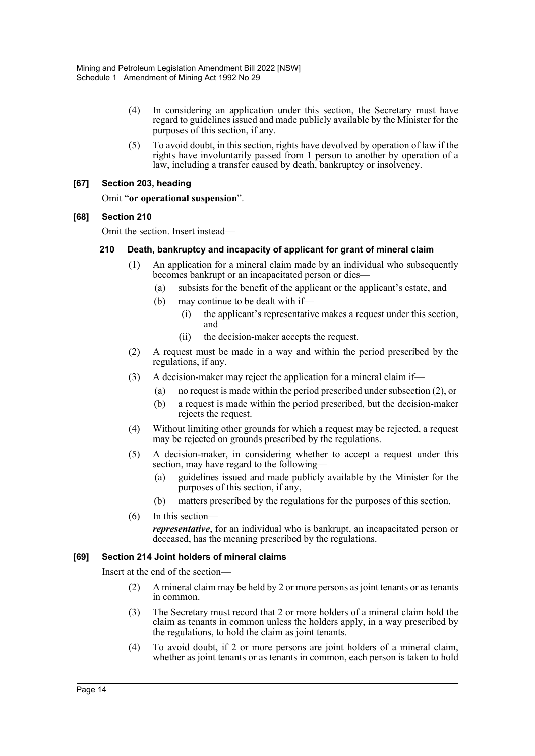- (4) In considering an application under this section, the Secretary must have regard to guidelines issued and made publicly available by the Minister for the purposes of this section, if any.
- (5) To avoid doubt, in this section, rights have devolved by operation of law if the rights have involuntarily passed from 1 person to another by operation of a law, including a transfer caused by death, bankruptcy or insolvency.

#### **[67] Section 203, heading**

Omit "**or operational suspension**".

#### **[68] Section 210**

Omit the section. Insert instead—

#### **210 Death, bankruptcy and incapacity of applicant for grant of mineral claim**

- (1) An application for a mineral claim made by an individual who subsequently becomes bankrupt or an incapacitated person or dies—
	- (a) subsists for the benefit of the applicant or the applicant's estate, and
	- (b) may continue to be dealt with if—
		- (i) the applicant's representative makes a request under this section, and
		- (ii) the decision-maker accepts the request.
- (2) A request must be made in a way and within the period prescribed by the regulations, if any.
- (3) A decision-maker may reject the application for a mineral claim if—
	- (a) no request is made within the period prescribed under subsection (2), or
	- (b) a request is made within the period prescribed, but the decision-maker rejects the request.
- (4) Without limiting other grounds for which a request may be rejected, a request may be rejected on grounds prescribed by the regulations.
- (5) A decision-maker, in considering whether to accept a request under this section, may have regard to the following—
	- (a) guidelines issued and made publicly available by the Minister for the purposes of this section, if any,
	- (b) matters prescribed by the regulations for the purposes of this section.

(6) In this section *representative*, for an individual who is bankrupt, an incapacitated person or deceased, has the meaning prescribed by the regulations.

#### **[69] Section 214 Joint holders of mineral claims**

Insert at the end of the section—

- (2) A mineral claim may be held by 2 or more persons as joint tenants or as tenants in common.
- (3) The Secretary must record that 2 or more holders of a mineral claim hold the claim as tenants in common unless the holders apply, in a way prescribed by the regulations, to hold the claim as joint tenants.
- (4) To avoid doubt, if 2 or more persons are joint holders of a mineral claim, whether as joint tenants or as tenants in common, each person is taken to hold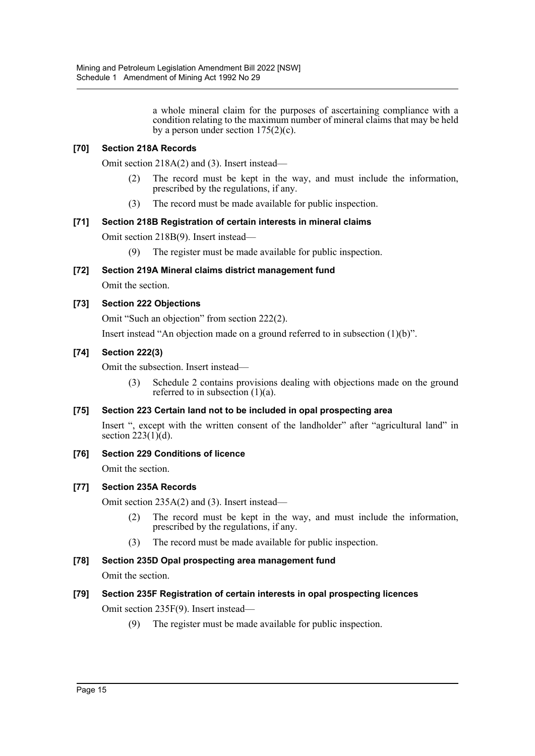a whole mineral claim for the purposes of ascertaining compliance with a condition relating to the maximum number of mineral claims that may be held by a person under section  $175(2)(c)$ .

#### **[70] Section 218A Records**

Omit section 218A(2) and (3). Insert instead—

- (2) The record must be kept in the way, and must include the information, prescribed by the regulations, if any.
- (3) The record must be made available for public inspection.

#### **[71] Section 218B Registration of certain interests in mineral claims**

Omit section 218B(9). Insert instead—

(9) The register must be made available for public inspection.

#### **[72] Section 219A Mineral claims district management fund**

Omit the section.

#### **[73] Section 222 Objections**

Omit "Such an objection" from section 222(2).

Insert instead "An objection made on a ground referred to in subsection (1)(b)".

#### **[74] Section 222(3)**

Omit the subsection. Insert instead—

(3) Schedule 2 contains provisions dealing with objections made on the ground referred to in subsection  $(1)(a)$ .

#### **[75] Section 223 Certain land not to be included in opal prospecting area**

Insert ", except with the written consent of the landholder" after "agricultural land" in section  $223(1)\hat{d}$ .

**[76] Section 229 Conditions of licence**

Omit the section.

#### **[77] Section 235A Records**

Omit section 235A(2) and (3). Insert instead—

- (2) The record must be kept in the way, and must include the information, prescribed by the regulations, if any.
- (3) The record must be made available for public inspection.

# **[78] Section 235D Opal prospecting area management fund**

Omit the section.

#### **[79] Section 235F Registration of certain interests in opal prospecting licences**

Omit section 235F(9). Insert instead—

(9) The register must be made available for public inspection.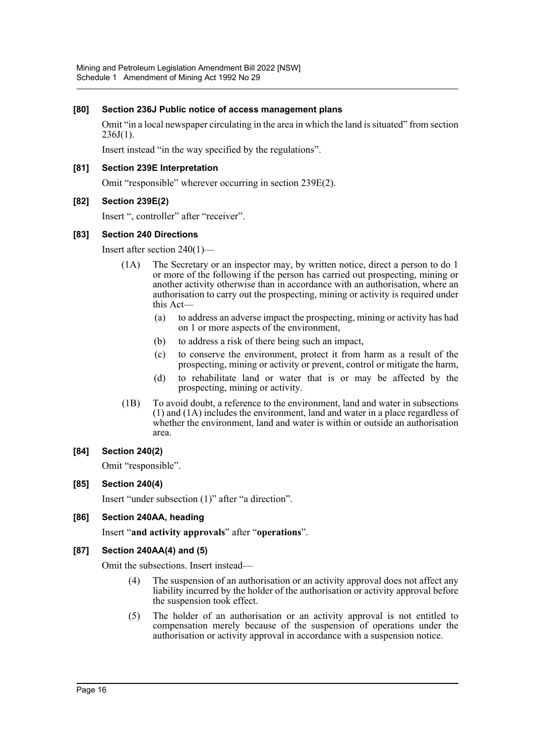#### **[80] Section 236J Public notice of access management plans**

Omit "in a local newspaper circulating in the area in which the land is situated" from section  $236J(1)$ .

Insert instead "in the way specified by the regulations".

#### **[81] Section 239E Interpretation**

Omit "responsible" wherever occurring in section 239E(2).

#### **[82] Section 239E(2)**

Insert ", controller" after "receiver".

#### **[83] Section 240 Directions**

Insert after section 240(1)—

- (1A) The Secretary or an inspector may, by written notice, direct a person to do 1 or more of the following if the person has carried out prospecting, mining or another activity otherwise than in accordance with an authorisation, where an authorisation to carry out the prospecting, mining or activity is required under this Act—
	- (a) to address an adverse impact the prospecting, mining or activity has had on 1 or more aspects of the environment,
	- (b) to address a risk of there being such an impact,
	- (c) to conserve the environment, protect it from harm as a result of the prospecting, mining or activity or prevent, control or mitigate the harm,
	- (d) to rehabilitate land or water that is or may be affected by the prospecting, mining or activity.
- (1B) To avoid doubt, a reference to the environment, land and water in subsections (1) and (1A) includes the environment, land and water in a place regardless of whether the environment, land and water is within or outside an authorisation area.

#### **[84] Section 240(2)**

Omit "responsible".

#### **[85] Section 240(4)**

Insert "under subsection (1)" after "a direction".

#### **[86] Section 240AA, heading**

Insert "**and activity approvals**" after "**operations**".

#### **[87] Section 240AA(4) and (5)**

Omit the subsections. Insert instead—

- (4) The suspension of an authorisation or an activity approval does not affect any liability incurred by the holder of the authorisation or activity approval before the suspension took effect.
- (5) The holder of an authorisation or an activity approval is not entitled to compensation merely because of the suspension of operations under the authorisation or activity approval in accordance with a suspension notice.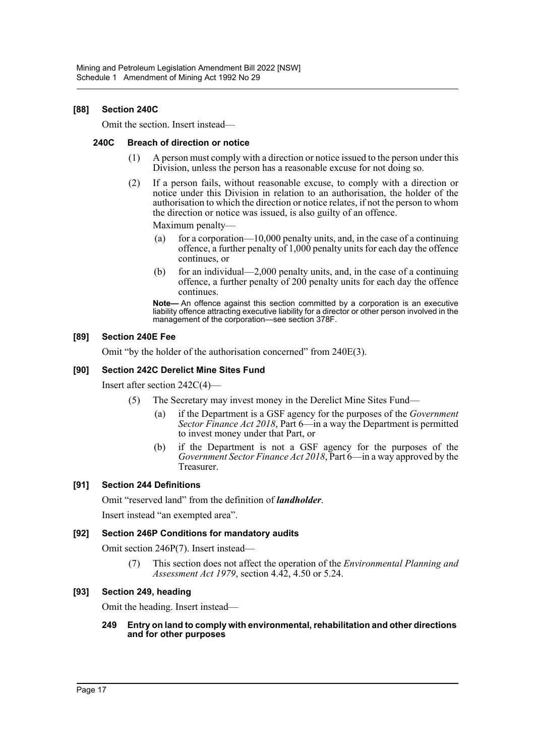#### **[88] Section 240C**

Omit the section. Insert instead—

#### **240C Breach of direction or notice**

- (1) A person must comply with a direction or notice issued to the person under this Division, unless the person has a reasonable excuse for not doing so.
- (2) If a person fails, without reasonable excuse, to comply with a direction or notice under this Division in relation to an authorisation, the holder of the authorisation to which the direction or notice relates, if not the person to whom the direction or notice was issued, is also guilty of an offence.

Maximum penalty—

- (a) for a corporation—10,000 penalty units, and, in the case of a continuing offence, a further penalty of 1,000 penalty units for each day the offence continues, or
- (b) for an individual—2,000 penalty units, and, in the case of a continuing offence, a further penalty of 200 penalty units for each day the offence continues.

**Note—** An offence against this section committed by a corporation is an executive liability offence attracting executive liability for a director or other person involved in the management of the corporation—see section 378F.

#### **[89] Section 240E Fee**

Omit "by the holder of the authorisation concerned" from 240E(3).

#### **[90] Section 242C Derelict Mine Sites Fund**

Insert after section 242C(4)—

- (5) The Secretary may invest money in the Derelict Mine Sites Fund—
	- (a) if the Department is a GSF agency for the purposes of the *Government Sector Finance Act 2018*, Part 6—in a way the Department is permitted to invest money under that Part, or
	- (b) if the Department is not a GSF agency for the purposes of the *Government Sector Finance Act 2018*, Part 6—in a way approved by the Treasurer.

#### **[91] Section 244 Definitions**

Omit "reserved land" from the definition of *landholder*.

Insert instead "an exempted area".

#### **[92] Section 246P Conditions for mandatory audits**

Omit section 246P(7). Insert instead—

(7) This section does not affect the operation of the *Environmental Planning and Assessment Act 1979*, section 4.42, 4.50 or 5.24.

#### **[93] Section 249, heading**

Omit the heading. Insert instead—

#### **249 Entry on land to comply with environmental, rehabilitation and other directions and for other purposes**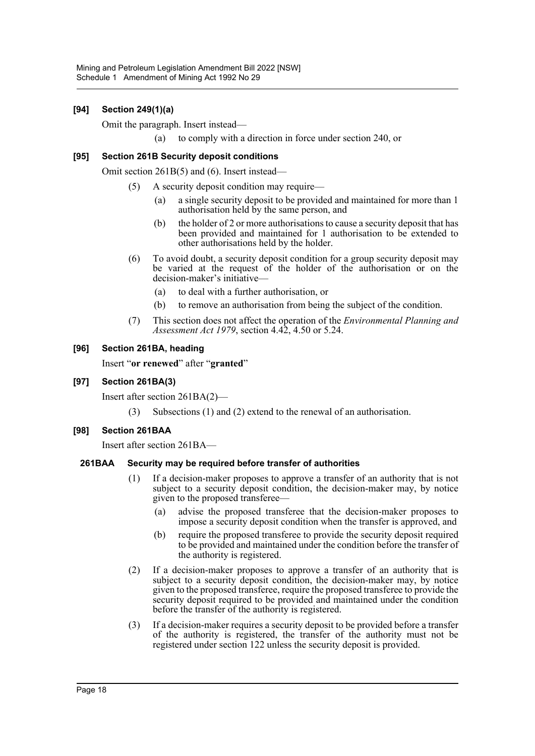### **[94] Section 249(1)(a)**

Omit the paragraph. Insert instead—

(a) to comply with a direction in force under section 240, or

#### **[95] Section 261B Security deposit conditions**

Omit section 261B(5) and (6). Insert instead—

- (5) A security deposit condition may require—
	- (a) a single security deposit to be provided and maintained for more than 1 authorisation held by the same person, and
	- (b) the holder of 2 or more authorisations to cause a security deposit that has been provided and maintained for 1 authorisation to be extended to other authorisations held by the holder.
- (6) To avoid doubt, a security deposit condition for a group security deposit may be varied at the request of the holder of the authorisation or on the decision-maker's initiative—
	- (a) to deal with a further authorisation, or
	- (b) to remove an authorisation from being the subject of the condition.
- (7) This section does not affect the operation of the *Environmental Planning and Assessment Act 1979*, section 4.42, 4.50 or 5.24.

#### **[96] Section 261BA, heading**

Insert "**or renewed**" after "**granted**"

#### **[97] Section 261BA(3)**

Insert after section 261BA(2)—

(3) Subsections (1) and (2) extend to the renewal of an authorisation.

#### **[98] Section 261BAA**

Insert after section 261BA—

#### **261BAA Security may be required before transfer of authorities**

- (1) If a decision-maker proposes to approve a transfer of an authority that is not subject to a security deposit condition, the decision-maker may, by notice given to the proposed transferee—
	- (a) advise the proposed transferee that the decision-maker proposes to impose a security deposit condition when the transfer is approved, and
	- (b) require the proposed transferee to provide the security deposit required to be provided and maintained under the condition before the transfer of the authority is registered.
- (2) If a decision-maker proposes to approve a transfer of an authority that is subject to a security deposit condition, the decision-maker may, by notice given to the proposed transferee, require the proposed transferee to provide the security deposit required to be provided and maintained under the condition before the transfer of the authority is registered.
- (3) If a decision-maker requires a security deposit to be provided before a transfer of the authority is registered, the transfer of the authority must not be registered under section 122 unless the security deposit is provided.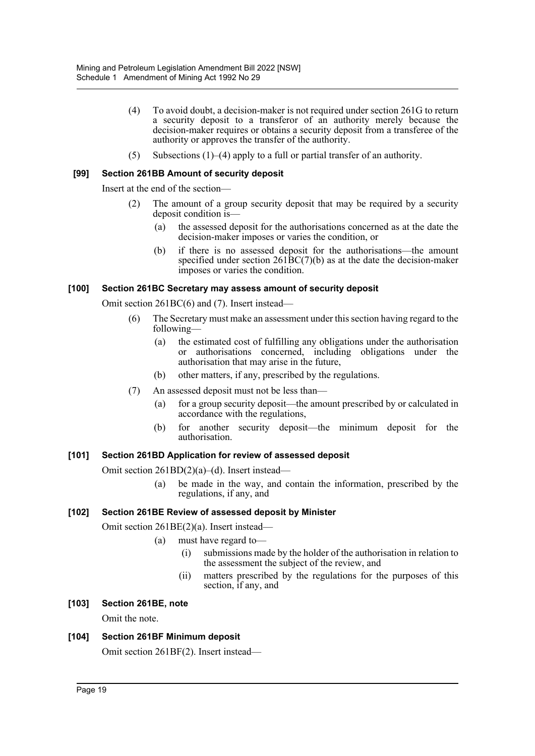- (4) To avoid doubt, a decision-maker is not required under section 261G to return a security deposit to a transferor of an authority merely because the decision-maker requires or obtains a security deposit from a transferee of the authority or approves the transfer of the authority.
- (5) Subsections (1)–(4) apply to a full or partial transfer of an authority.

#### **[99] Section 261BB Amount of security deposit**

Insert at the end of the section—

- (2) The amount of a group security deposit that may be required by a security deposit condition is—
	- (a) the assessed deposit for the authorisations concerned as at the date the decision-maker imposes or varies the condition, or
	- (b) if there is no assessed deposit for the authorisations—the amount specified under section  $261\text{BC}(7)(b)$  as at the date the decision-maker imposes or varies the condition.

#### **[100] Section 261BC Secretary may assess amount of security deposit**

Omit section 261BC(6) and (7). Insert instead—

- (6) The Secretary must make an assessment under this section having regard to the following—
	- (a) the estimated cost of fulfilling any obligations under the authorisation or authorisations concerned, including obligations under the authorisation that may arise in the future,
	- (b) other matters, if any, prescribed by the regulations.
- (7) An assessed deposit must not be less than—
	- (a) for a group security deposit—the amount prescribed by or calculated in accordance with the regulations,
	- (b) for another security deposit—the minimum deposit for the authorisation.

#### **[101] Section 261BD Application for review of assessed deposit**

Omit section 261BD(2)(a)–(d). Insert instead—

(a) be made in the way, and contain the information, prescribed by the regulations, if any, and

#### **[102] Section 261BE Review of assessed deposit by Minister**

Omit section 261BE(2)(a). Insert instead—

- (a) must have regard to—
	- (i) submissions made by the holder of the authorisation in relation to the assessment the subject of the review, and
	- (ii) matters prescribed by the regulations for the purposes of this section, if any, and
- **[103] Section 261BE, note**

Omit the note.

#### **[104] Section 261BF Minimum deposit**

Omit section 261BF(2). Insert instead—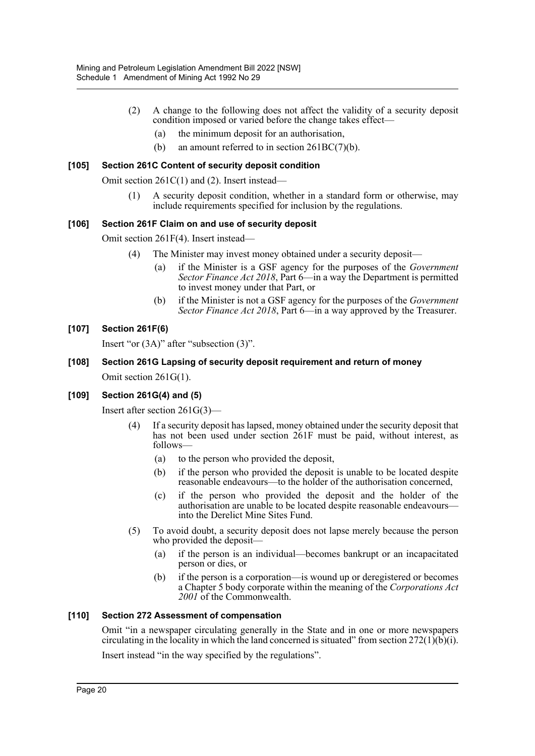- (2) A change to the following does not affect the validity of a security deposit condition imposed or varied before the change takes effect—
	- (a) the minimum deposit for an authorisation,
	- (b) an amount referred to in section 261BC(7)(b).

#### **[105] Section 261C Content of security deposit condition**

Omit section 261C(1) and (2). Insert instead—

(1) A security deposit condition, whether in a standard form or otherwise, may include requirements specified for inclusion by the regulations.

#### **[106] Section 261F Claim on and use of security deposit**

Omit section 261F(4). Insert instead—

- (4) The Minister may invest money obtained under a security deposit—
	- (a) if the Minister is a GSF agency for the purposes of the *Government Sector Finance Act 2018*, Part 6—in a way the Department is permitted to invest money under that Part, or
	- (b) if the Minister is not a GSF agency for the purposes of the *Government Sector Finance Act 2018*, Part 6—in a way approved by the Treasurer.

#### **[107] Section 261F(6)**

Insert "or (3A)" after "subsection (3)".

**[108] Section 261G Lapsing of security deposit requirement and return of money** Omit section 261G(1).

#### **[109] Section 261G(4) and (5)**

Insert after section 261G(3)—

- (4) If a security deposit has lapsed, money obtained under the security deposit that has not been used under section 261F must be paid, without interest, as follows—
	- (a) to the person who provided the deposit,
	- (b) if the person who provided the deposit is unable to be located despite reasonable endeavours—to the holder of the authorisation concerned,
	- (c) if the person who provided the deposit and the holder of the authorisation are unable to be located despite reasonable endeavours into the Derelict Mine Sites Fund.
- (5) To avoid doubt, a security deposit does not lapse merely because the person who provided the deposit—
	- (a) if the person is an individual—becomes bankrupt or an incapacitated person or dies, or
	- (b) if the person is a corporation—is wound up or deregistered or becomes a Chapter 5 body corporate within the meaning of the *Corporations Act 2001* of the Commonwealth.

#### **[110] Section 272 Assessment of compensation**

Omit "in a newspaper circulating generally in the State and in one or more newspapers circulating in the locality in which the land concerned is situated" from section 272(1)(b)(i).

Insert instead "in the way specified by the regulations".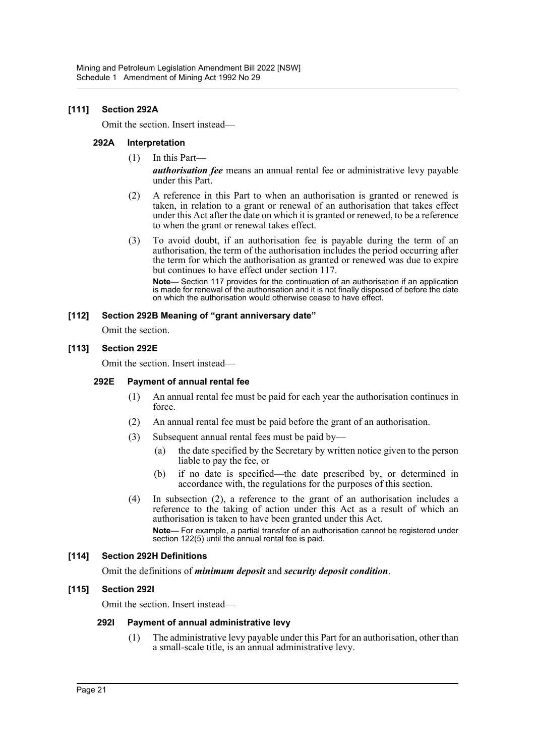#### **[111] Section 292A**

Omit the section. Insert instead—

#### **292A Interpretation**

(1) In this Part—

*authorisation fee* means an annual rental fee or administrative levy payable under this Part.

- (2) A reference in this Part to when an authorisation is granted or renewed is taken, in relation to a grant or renewal of an authorisation that takes effect under this Act after the date on which it is granted or renewed, to be a reference to when the grant or renewal takes effect.
- (3) To avoid doubt, if an authorisation fee is payable during the term of an authorisation, the term of the authorisation includes the period occurring after the term for which the authorisation as granted or renewed was due to expire but continues to have effect under section 117.

**Note—** Section 117 provides for the continuation of an authorisation if an application is made for renewal of the authorisation and it is not finally disposed of before the date on which the authorisation would otherwise cease to have effect.

#### **[112] Section 292B Meaning of "grant anniversary date"**

Omit the section.

#### **[113] Section 292E**

Omit the section. Insert instead—

#### **292E Payment of annual rental fee**

- (1) An annual rental fee must be paid for each year the authorisation continues in force.
- (2) An annual rental fee must be paid before the grant of an authorisation.
- (3) Subsequent annual rental fees must be paid by—
	- (a) the date specified by the Secretary by written notice given to the person liable to pay the fee, or
	- (b) if no date is specified—the date prescribed by, or determined in accordance with, the regulations for the purposes of this section.
- (4) In subsection (2), a reference to the grant of an authorisation includes a reference to the taking of action under this Act as a result of which an authorisation is taken to have been granted under this Act. **Note—** For example, a partial transfer of an authorisation cannot be registered under section 122(5) until the annual rental fee is paid.

#### **[114] Section 292H Definitions**

Omit the definitions of *minimum deposit* and *security deposit condition*.

#### **[115] Section 292I**

Omit the section. Insert instead—

#### **292I Payment of annual administrative levy**

(1) The administrative levy payable under this Part for an authorisation, other than a small-scale title, is an annual administrative levy.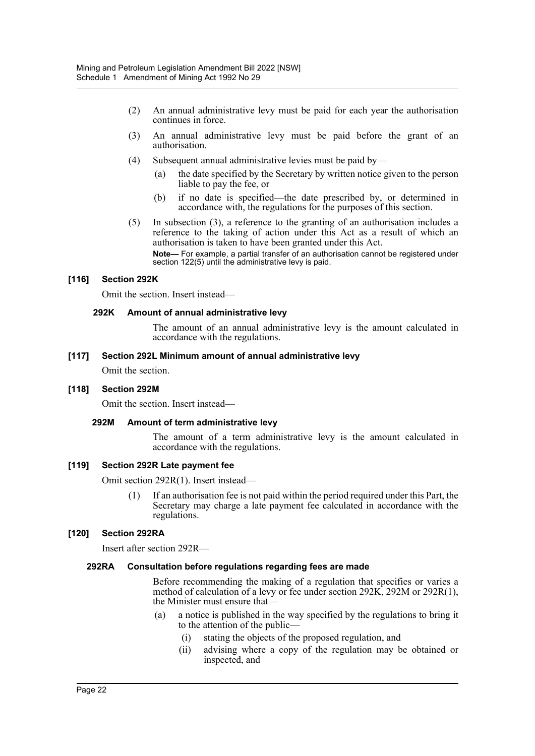- (2) An annual administrative levy must be paid for each year the authorisation continues in force.
- (3) An annual administrative levy must be paid before the grant of an authorisation.
- (4) Subsequent annual administrative levies must be paid by—
	- (a) the date specified by the Secretary by written notice given to the person liable to pay the fee, or
	- (b) if no date is specified—the date prescribed by, or determined in accordance with, the regulations for the purposes of this section.
- (5) In subsection (3), a reference to the granting of an authorisation includes a reference to the taking of action under this Act as a result of which an authorisation is taken to have been granted under this Act. **Note—** For example, a partial transfer of an authorisation cannot be registered under

section 122(5) until the administrative levy is paid.

#### **[116] Section 292K**

Omit the section. Insert instead—

#### **292K Amount of annual administrative levy**

The amount of an annual administrative levy is the amount calculated in accordance with the regulations.

#### **[117] Section 292L Minimum amount of annual administrative levy**

Omit the section.

#### **[118] Section 292M**

Omit the section. Insert instead—

#### **292M Amount of term administrative levy**

The amount of a term administrative levy is the amount calculated in accordance with the regulations.

#### **[119] Section 292R Late payment fee**

Omit section 292R(1). Insert instead—

If an authorisation fee is not paid within the period required under this Part, the Secretary may charge a late payment fee calculated in accordance with the regulations.

#### **[120] Section 292RA**

Insert after section 292R—

#### **292RA Consultation before regulations regarding fees are made**

Before recommending the making of a regulation that specifies or varies a method of calculation of a levy or fee under section 292K, 292M or 292R(1), the Minister must ensure that—

- (a) a notice is published in the way specified by the regulations to bring it to the attention of the public—
	- (i) stating the objects of the proposed regulation, and
	- (ii) advising where a copy of the regulation may be obtained or inspected, and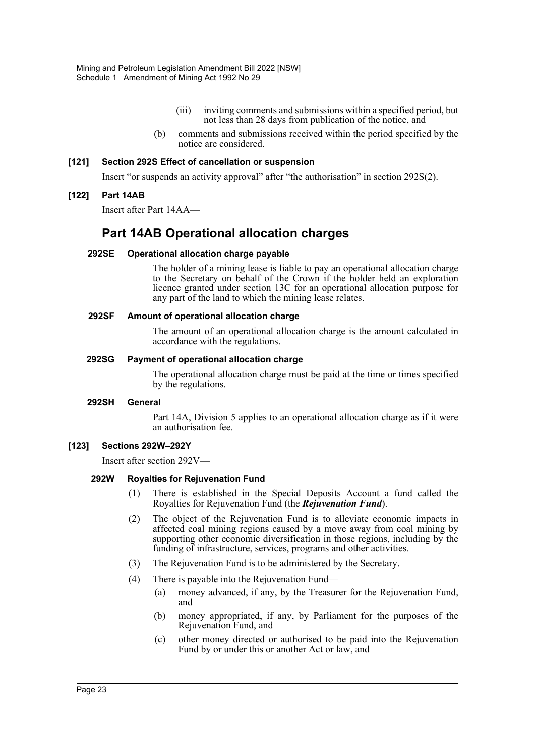- (iii) inviting comments and submissions within a specified period, but not less than 28 days from publication of the notice, and
- (b) comments and submissions received within the period specified by the notice are considered.

#### **[121] Section 292S Effect of cancellation or suspension**

Insert "or suspends an activity approval" after "the authorisation" in section 292S(2).

#### **[122] Part 14AB**

Insert after Part 14AA—

# **Part 14AB Operational allocation charges**

#### **292SE Operational allocation charge payable**

The holder of a mining lease is liable to pay an operational allocation charge to the Secretary on behalf of the Crown if the holder held an exploration licence granted under section 13C for an operational allocation purpose for any part of the land to which the mining lease relates.

#### **292SF Amount of operational allocation charge**

The amount of an operational allocation charge is the amount calculated in accordance with the regulations.

#### **292SG Payment of operational allocation charge**

The operational allocation charge must be paid at the time or times specified by the regulations.

#### **292SH General**

Part 14A, Division 5 applies to an operational allocation charge as if it were an authorisation fee.

#### **[123] Sections 292W–292Y**

Insert after section 292V—

#### **292W Royalties for Rejuvenation Fund**

- (1) There is established in the Special Deposits Account a fund called the Royalties for Rejuvenation Fund (the *Rejuvenation Fund*).
- (2) The object of the Rejuvenation Fund is to alleviate economic impacts in affected coal mining regions caused by a move away from coal mining by supporting other economic diversification in those regions, including by the funding of infrastructure, services, programs and other activities.
- (3) The Rejuvenation Fund is to be administered by the Secretary.
- (4) There is payable into the Rejuvenation Fund—
	- (a) money advanced, if any, by the Treasurer for the Rejuvenation Fund, and
	- (b) money appropriated, if any, by Parliament for the purposes of the Rejuvenation Fund, and
	- (c) other money directed or authorised to be paid into the Rejuvenation Fund by or under this or another Act or law, and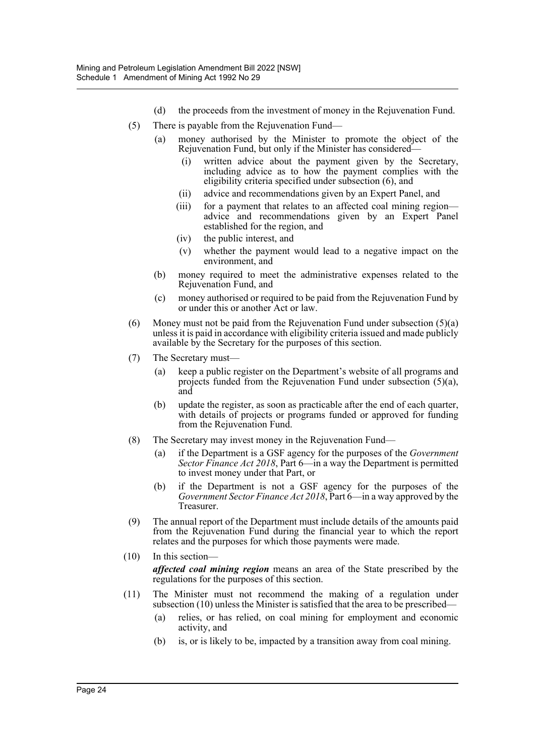- (d) the proceeds from the investment of money in the Rejuvenation Fund.
- (5) There is payable from the Rejuvenation Fund—
	- (a) money authorised by the Minister to promote the object of the Rejuvenation Fund, but only if the Minister has considered—
		- (i) written advice about the payment given by the Secretary, including advice as to how the payment complies with the eligibility criteria specified under subsection (6), and
		- (ii) advice and recommendations given by an Expert Panel, and
		- (iii) for a payment that relates to an affected coal mining region advice and recommendations given by an Expert Panel established for the region, and
		- (iv) the public interest, and
		- (v) whether the payment would lead to a negative impact on the environment, and
	- (b) money required to meet the administrative expenses related to the Rejuvenation Fund, and
	- (c) money authorised or required to be paid from the Rejuvenation Fund by or under this or another Act or law.
- (6) Money must not be paid from the Rejuvenation Fund under subsection  $(5)(a)$ unless it is paid in accordance with eligibility criteria issued and made publicly available by the Secretary for the purposes of this section.
- (7) The Secretary must—
	- (a) keep a public register on the Department's website of all programs and projects funded from the Rejuvenation Fund under subsection (5)(a), and
	- (b) update the register, as soon as practicable after the end of each quarter, with details of projects or programs funded or approved for funding from the Rejuvenation Fund.
- (8) The Secretary may invest money in the Rejuvenation Fund—
	- (a) if the Department is a GSF agency for the purposes of the *Government Sector Finance Act 2018*, Part 6—in a way the Department is permitted to invest money under that Part, or
	- (b) if the Department is not a GSF agency for the purposes of the *Government Sector Finance Act 2018*, Part 6—in a way approved by the Treasurer.
- (9) The annual report of the Department must include details of the amounts paid from the Rejuvenation Fund during the financial year to which the report relates and the purposes for which those payments were made.
- (10) In this section *affected coal mining region* means an area of the State prescribed by the regulations for the purposes of this section.
- (11) The Minister must not recommend the making of a regulation under subsection (10) unless the Minister is satisfied that the area to be prescribed—
	- (a) relies, or has relied, on coal mining for employment and economic activity, and
	- (b) is, or is likely to be, impacted by a transition away from coal mining.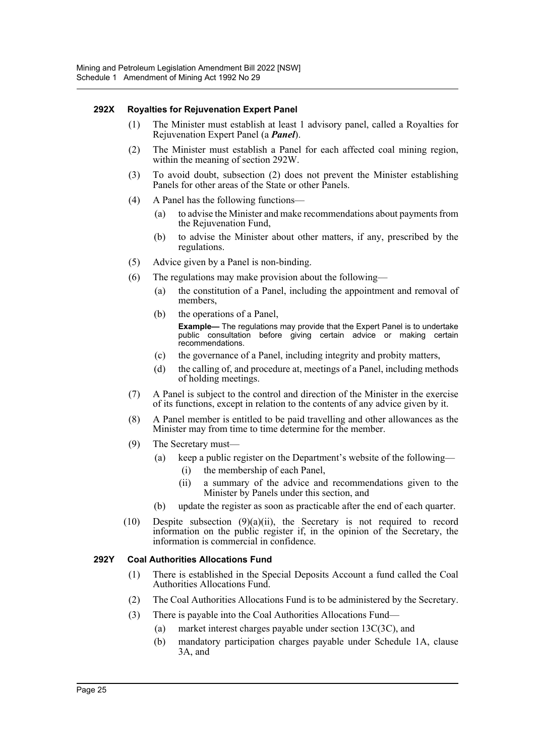#### **292X Royalties for Rejuvenation Expert Panel**

- (1) The Minister must establish at least 1 advisory panel, called a Royalties for Rejuvenation Expert Panel (a *Panel*).
- (2) The Minister must establish a Panel for each affected coal mining region, within the meaning of section 292W.
- (3) To avoid doubt, subsection (2) does not prevent the Minister establishing Panels for other areas of the State or other Panels.
- (4) A Panel has the following functions—
	- (a) to advise the Minister and make recommendations about payments from the Rejuvenation Fund,
	- (b) to advise the Minister about other matters, if any, prescribed by the regulations.
- (5) Advice given by a Panel is non-binding.
- (6) The regulations may make provision about the following—
	- (a) the constitution of a Panel, including the appointment and removal of members,
	- (b) the operations of a Panel,

**Example—** The regulations may provide that the Expert Panel is to undertake public consultation before giving certain advice or making certain recommendations.

- (c) the governance of a Panel, including integrity and probity matters,
- (d) the calling of, and procedure at, meetings of a Panel, including methods of holding meetings.
- (7) A Panel is subject to the control and direction of the Minister in the exercise of its functions, except in relation to the contents of any advice given by it.
- (8) A Panel member is entitled to be paid travelling and other allowances as the Minister may from time to time determine for the member.
- (9) The Secretary must—
	- (a) keep a public register on the Department's website of the following— (i) the membership of each Panel,
		-
		- (ii) a summary of the advice and recommendations given to the Minister by Panels under this section, and
	- (b) update the register as soon as practicable after the end of each quarter.
- (10) Despite subsection (9)(a)(ii), the Secretary is not required to record information on the public register if, in the opinion of the Secretary, the information is commercial in confidence.

#### **292Y Coal Authorities Allocations Fund**

- (1) There is established in the Special Deposits Account a fund called the Coal Authorities Allocations Fund.
- (2) The Coal Authorities Allocations Fund is to be administered by the Secretary.
- (3) There is payable into the Coal Authorities Allocations Fund—
	- (a) market interest charges payable under section 13C(3C), and
	- (b) mandatory participation charges payable under Schedule 1A, clause 3A, and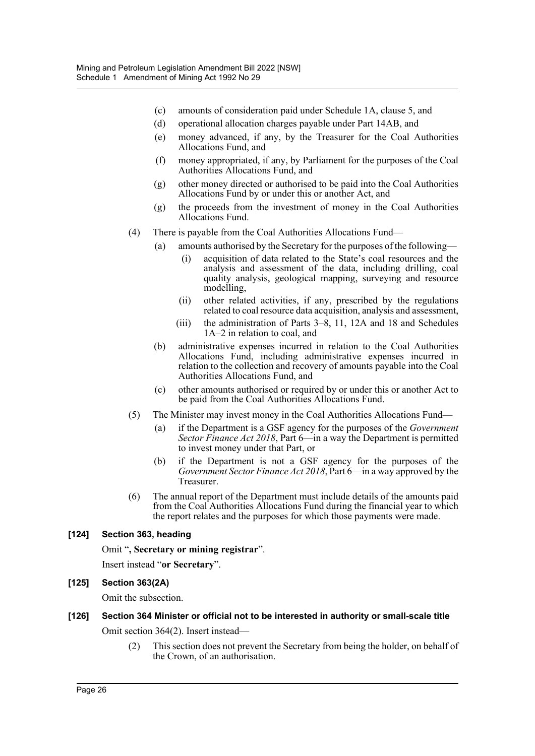- (c) amounts of consideration paid under Schedule 1A, clause 5, and
- (d) operational allocation charges payable under Part 14AB, and
- (e) money advanced, if any, by the Treasurer for the Coal Authorities Allocations Fund, and
- (f) money appropriated, if any, by Parliament for the purposes of the Coal Authorities Allocations Fund, and
- (g) other money directed or authorised to be paid into the Coal Authorities Allocations Fund by or under this or another Act, and
- (g) the proceeds from the investment of money in the Coal Authorities Allocations Fund.
- (4) There is payable from the Coal Authorities Allocations Fund—
	- (a) amounts authorised by the Secretary for the purposes of the following
		- acquisition of data related to the State's coal resources and the analysis and assessment of the data, including drilling, coal quality analysis, geological mapping, surveying and resource modelling,
		- (ii) other related activities, if any, prescribed by the regulations related to coal resource data acquisition, analysis and assessment,
		- (iii) the administration of Parts 3–8, 11, 12A and 18 and Schedules 1A–2 in relation to coal, and
		- (b) administrative expenses incurred in relation to the Coal Authorities Allocations Fund, including administrative expenses incurred in relation to the collection and recovery of amounts payable into the Coal Authorities Allocations Fund, and
		- (c) other amounts authorised or required by or under this or another Act to be paid from the Coal Authorities Allocations Fund.
- (5) The Minister may invest money in the Coal Authorities Allocations Fund—
	- (a) if the Department is a GSF agency for the purposes of the *Government Sector Finance Act 2018*, Part 6—in a way the Department is permitted to invest money under that Part, or
	- (b) if the Department is not a GSF agency for the purposes of the *Government Sector Finance Act 2018*, Part 6—in a way approved by the Treasurer.
- (6) The annual report of the Department must include details of the amounts paid from the Coal Authorities Allocations Fund during the financial year to which the report relates and the purposes for which those payments were made.

#### **[124] Section 363, heading**

Omit "**, Secretary or mining registrar**".

Insert instead "**or Secretary**".

#### **[125] Section 363(2A)**

Omit the subsection.

# **[126] Section 364 Minister or official not to be interested in authority or small-scale title**

Omit section 364(2). Insert instead—

(2) This section does not prevent the Secretary from being the holder, on behalf of the Crown, of an authorisation.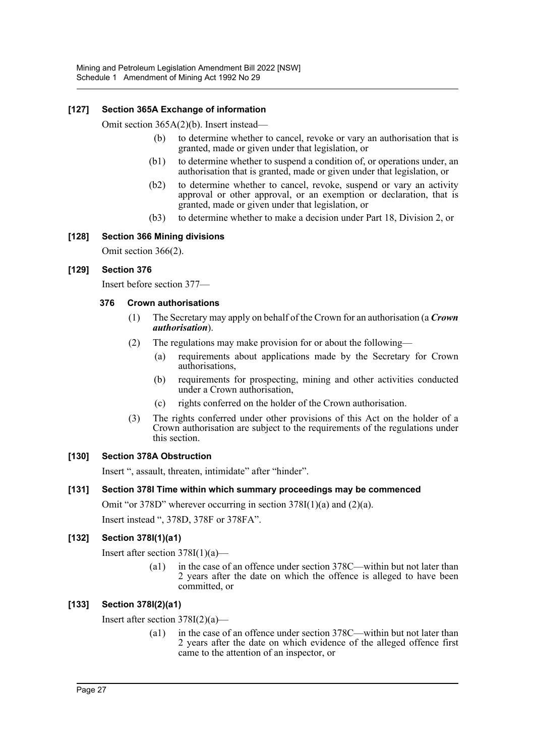#### **[127] Section 365A Exchange of information**

Omit section 365A(2)(b). Insert instead—

- (b) to determine whether to cancel, revoke or vary an authorisation that is granted, made or given under that legislation, or
- (b1) to determine whether to suspend a condition of, or operations under, an authorisation that is granted, made or given under that legislation, or
- (b2) to determine whether to cancel, revoke, suspend or vary an activity approval or other approval, or an exemption or declaration, that is granted, made or given under that legislation, or
- (b3) to determine whether to make a decision under Part 18, Division 2, or

#### **[128] Section 366 Mining divisions**

Omit section 366(2).

#### **[129] Section 376**

Insert before section 377—

#### **376 Crown authorisations**

- (1) The Secretary may apply on behalf of the Crown for an authorisation (a *Crown authorisation*).
- (2) The regulations may make provision for or about the following—
	- (a) requirements about applications made by the Secretary for Crown authorisations,
		- (b) requirements for prospecting, mining and other activities conducted under a Crown authorisation,
		- (c) rights conferred on the holder of the Crown authorisation.
- (3) The rights conferred under other provisions of this Act on the holder of a Crown authorisation are subject to the requirements of the regulations under this section.

#### **[130] Section 378A Obstruction**

Insert ", assault, threaten, intimidate" after "hinder".

#### **[131] Section 378I Time within which summary proceedings may be commenced**

Omit "or 378D" wherever occurring in section 378I(1)(a) and (2)(a). Insert instead ", 378D, 378F or 378FA".

#### **[132] Section 378I(1)(a1)**

Insert after section  $378I(1)(a)$ —

(a1) in the case of an offence under section 378C—within but not later than 2 years after the date on which the offence is alleged to have been committed, or

#### **[133] Section 378I(2)(a1)**

Insert after section  $378I(2)(a)$ —

(a1) in the case of an offence under section 378C—within but not later than 2 years after the date on which evidence of the alleged offence first came to the attention of an inspector, or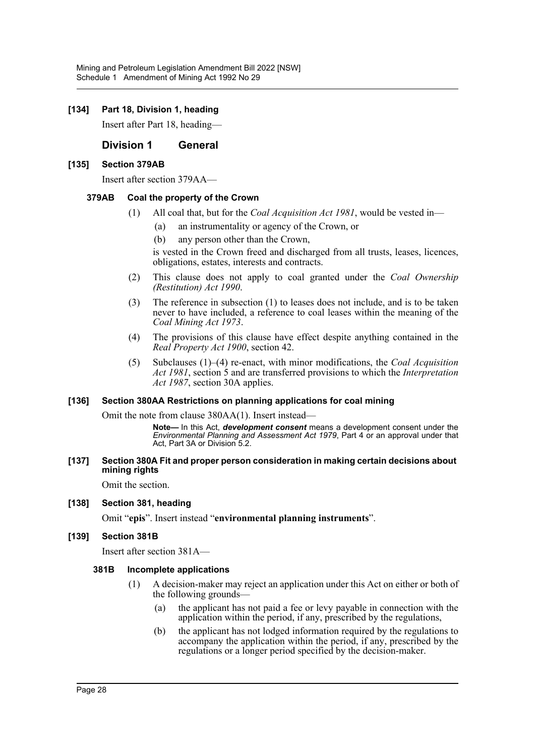#### **[134] Part 18, Division 1, heading**

Insert after Part 18, heading—

#### **Division 1 General**

#### **[135] Section 379AB**

Insert after section 379AA—

#### **379AB Coal the property of the Crown**

- (1) All coal that, but for the *Coal Acquisition Act 1981*, would be vested in—
	- (a) an instrumentality or agency of the Crown, or
	- (b) any person other than the Crown,

is vested in the Crown freed and discharged from all trusts, leases, licences, obligations, estates, interests and contracts.

- (2) This clause does not apply to coal granted under the *Coal Ownership (Restitution) Act 1990*.
- (3) The reference in subsection (1) to leases does not include, and is to be taken never to have included, a reference to coal leases within the meaning of the *Coal Mining Act 1973*.
- (4) The provisions of this clause have effect despite anything contained in the *Real Property Act 1900*, section 42.
- (5) Subclauses (1)–(4) re-enact, with minor modifications, the *Coal Acquisition Act 1981*, section 5 and are transferred provisions to which the *Interpretation Act 1987*, section 30A applies.

#### **[136] Section 380AA Restrictions on planning applications for coal mining**

Omit the note from clause 380AA(1). Insert instead—

**Note—** In this Act, *development consent* means a development consent under the *Environmental Planning and Assessment Act 1979*, Part 4 or an approval under that Act, Part 3A or Division 5.2.

#### **[137] Section 380A Fit and proper person consideration in making certain decisions about mining rights**

Omit the section.

#### **[138] Section 381, heading**

Omit "**epis**". Insert instead "**environmental planning instruments**".

#### **[139] Section 381B**

Insert after section 381A—

#### **381B Incomplete applications**

- (1) A decision-maker may reject an application under this Act on either or both of the following grounds—
	- (a) the applicant has not paid a fee or levy payable in connection with the application within the period, if any, prescribed by the regulations,
	- (b) the applicant has not lodged information required by the regulations to accompany the application within the period, if any, prescribed by the regulations or a longer period specified by the decision-maker.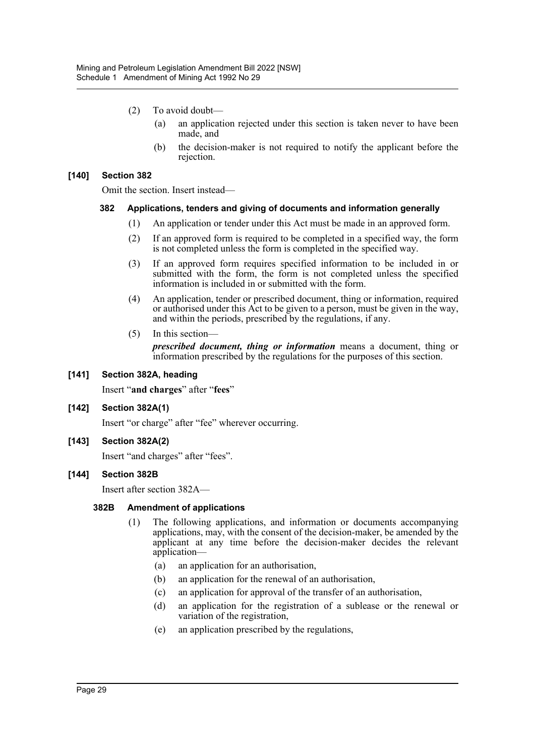- (2) To avoid doubt—
	- (a) an application rejected under this section is taken never to have been made, and
	- (b) the decision-maker is not required to notify the applicant before the rejection.

#### **[140] Section 382**

Omit the section. Insert instead—

#### **382 Applications, tenders and giving of documents and information generally**

- (1) An application or tender under this Act must be made in an approved form.
- (2) If an approved form is required to be completed in a specified way, the form is not completed unless the form is completed in the specified way.
- (3) If an approved form requires specified information to be included in or submitted with the form, the form is not completed unless the specified information is included in or submitted with the form.
- (4) An application, tender or prescribed document, thing or information, required or authorised under this Act to be given to a person, must be given in the way, and within the periods, prescribed by the regulations, if any.
- (5) In this section—

*prescribed document, thing or information* means a document, thing or information prescribed by the regulations for the purposes of this section.

#### **[141] Section 382A, heading**

Insert "**and charges**" after "**fees**"

#### **[142] Section 382A(1)**

Insert "or charge" after "fee" wherever occurring.

**[143] Section 382A(2)**

Insert "and charges" after "fees".

#### **[144] Section 382B**

Insert after section 382A—

#### **382B Amendment of applications**

- (1) The following applications, and information or documents accompanying applications, may, with the consent of the decision-maker, be amended by the applicant at any time before the decision-maker decides the relevant application—
	- (a) an application for an authorisation,
	- (b) an application for the renewal of an authorisation,
	- (c) an application for approval of the transfer of an authorisation,
	- (d) an application for the registration of a sublease or the renewal or variation of the registration,
	- (e) an application prescribed by the regulations,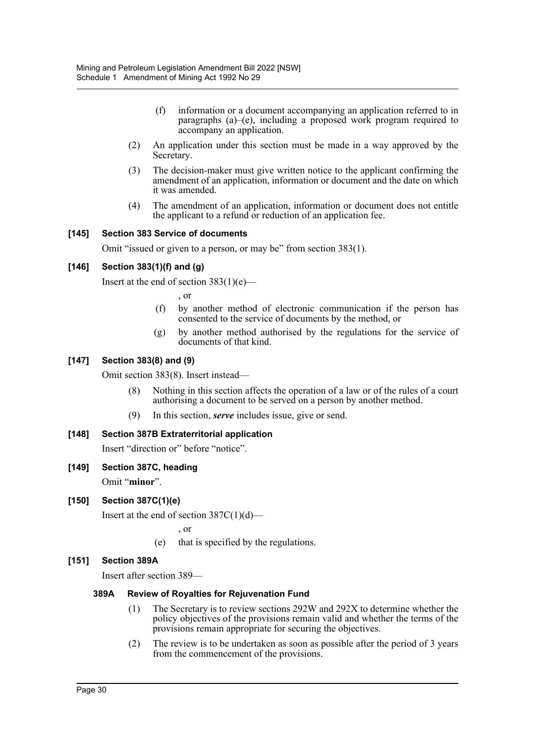- (f) information or a document accompanying an application referred to in paragraphs (a)–(e), including a proposed work program required to accompany an application.
- (2) An application under this section must be made in a way approved by the Secretary.
- (3) The decision-maker must give written notice to the applicant confirming the amendment of an application, information or document and the date on which it was amended.
- (4) The amendment of an application, information or document does not entitle the applicant to a refund or reduction of an application fee.

#### **[145] Section 383 Service of documents**

Omit "issued or given to a person, or may be" from section 383(1).

#### **[146] Section 383(1)(f) and (g)**

Insert at the end of section 383(1)(e)—

, or

- (f) by another method of electronic communication if the person has consented to the service of documents by the method, or
- (g) by another method authorised by the regulations for the service of documents of that kind.

#### **[147] Section 383(8) and (9)**

Omit section 383(8). Insert instead—

- (8) Nothing in this section affects the operation of a law or of the rules of a court authorising a document to be served on a person by another method.
- (9) In this section, *serve* includes issue, give or send.

#### **[148] Section 387B Extraterritorial application**

Insert "direction or" before "notice".

**[149] Section 387C, heading**

Omit "**minor**".

#### **[150] Section 387C(1)(e)**

Insert at the end of section  $387C(1)(d)$ —

, or

(e) that is specified by the regulations.

#### **[151] Section 389A**

Insert after section 389—

#### **389A Review of Royalties for Rejuvenation Fund**

- (1) The Secretary is to review sections 292W and 292X to determine whether the policy objectives of the provisions remain valid and whether the terms of the provisions remain appropriate for securing the objectives.
- (2) The review is to be undertaken as soon as possible after the period of 3 years from the commencement of the provisions.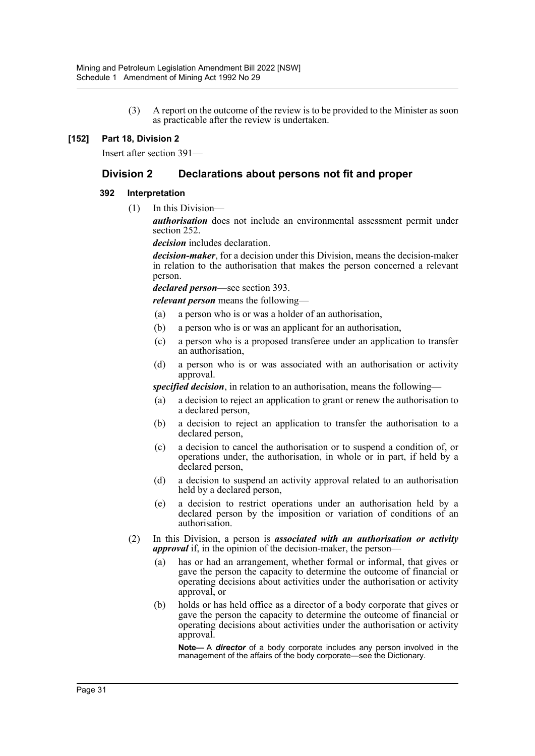(3) A report on the outcome of the review is to be provided to the Minister as soon as practicable after the review is undertaken.

#### **[152] Part 18, Division 2**

Insert after section 391—

### **Division 2 Declarations about persons not fit and proper**

#### **392 Interpretation**

(1) In this Division—

*authorisation* does not include an environmental assessment permit under section 252.

*decision* includes declaration.

*decision-maker*, for a decision under this Division, means the decision-maker in relation to the authorisation that makes the person concerned a relevant person.

*declared person*—see section 393.

*relevant person* means the following—

- (a) a person who is or was a holder of an authorisation,
- (b) a person who is or was an applicant for an authorisation,
- (c) a person who is a proposed transferee under an application to transfer an authorisation,
- (d) a person who is or was associated with an authorisation or activity approval.

*specified decision*, in relation to an authorisation, means the following—

- (a) a decision to reject an application to grant or renew the authorisation to a declared person,
- (b) a decision to reject an application to transfer the authorisation to a declared person,
- (c) a decision to cancel the authorisation or to suspend a condition of, or operations under, the authorisation, in whole or in part, if held by a declared person,
- (d) a decision to suspend an activity approval related to an authorisation held by a declared person,
- (e) a decision to restrict operations under an authorisation held by a declared person by the imposition or variation of conditions of an authorisation.
- (2) In this Division, a person is *associated with an authorisation or activity approval* if, in the opinion of the decision-maker, the person—
	- (a) has or had an arrangement, whether formal or informal, that gives or gave the person the capacity to determine the outcome of financial or operating decisions about activities under the authorisation or activity approval, or
	- (b) holds or has held office as a director of a body corporate that gives or gave the person the capacity to determine the outcome of financial or operating decisions about activities under the authorisation or activity approval.

**Note—** A *director* of a body corporate includes any person involved in the management of the affairs of the body corporate—see the Dictionary.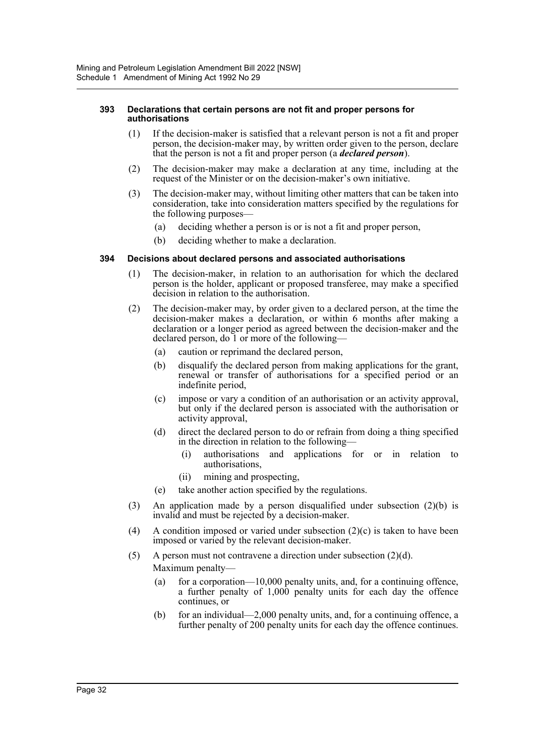#### **393 Declarations that certain persons are not fit and proper persons for authorisations**

- (1) If the decision-maker is satisfied that a relevant person is not a fit and proper person, the decision-maker may, by written order given to the person, declare that the person is not a fit and proper person (a *declared person*).
- (2) The decision-maker may make a declaration at any time, including at the request of the Minister or on the decision-maker's own initiative.
- (3) The decision-maker may, without limiting other matters that can be taken into consideration, take into consideration matters specified by the regulations for the following purposes—
	- (a) deciding whether a person is or is not a fit and proper person,
	- (b) deciding whether to make a declaration.

#### **394 Decisions about declared persons and associated authorisations**

- (1) The decision-maker, in relation to an authorisation for which the declared person is the holder, applicant or proposed transferee, may make a specified decision in relation to the authorisation.
- (2) The decision-maker may, by order given to a declared person, at the time the decision-maker makes a declaration, or within 6 months after making a declaration or a longer period as agreed between the decision-maker and the declared person, do 1 or more of the following—
	- (a) caution or reprimand the declared person,
	- (b) disqualify the declared person from making applications for the grant, renewal or transfer of authorisations for a specified period or an indefinite period,
	- (c) impose or vary a condition of an authorisation or an activity approval, but only if the declared person is associated with the authorisation or activity approval,
	- (d) direct the declared person to do or refrain from doing a thing specified in the direction in relation to the following—
		- (i) authorisations and applications for or in relation to authorisations,
		- (ii) mining and prospecting,
	- (e) take another action specified by the regulations.
- (3) An application made by a person disqualified under subsection (2)(b) is invalid and must be rejected by a decision-maker.
- (4) A condition imposed or varied under subsection  $(2)(c)$  is taken to have been imposed or varied by the relevant decision-maker.
- (5) A person must not contravene a direction under subsection  $(2)(d)$ .

Maximum penalty—

- (a) for a corporation—10,000 penalty units, and, for a continuing offence, a further penalty of 1,000 penalty units for each day the offence continues, or
- (b) for an individual—2,000 penalty units, and, for a continuing offence, a further penalty of 200 penalty units for each day the offence continues.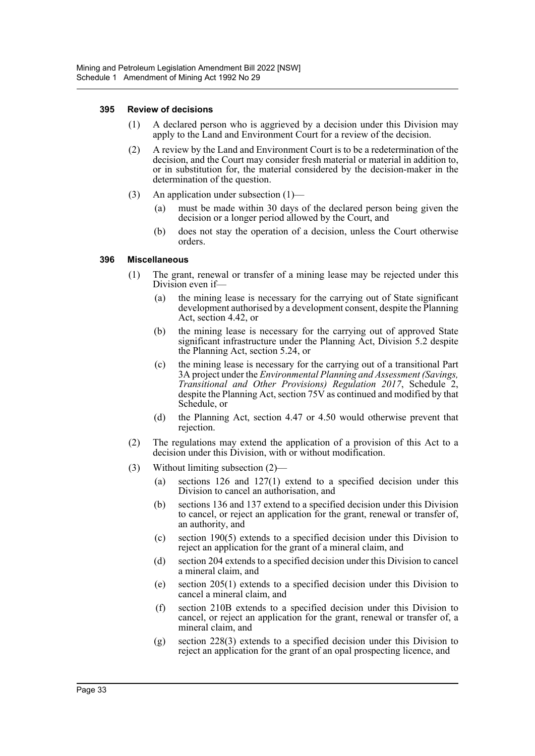#### **395 Review of decisions**

- (1) A declared person who is aggrieved by a decision under this Division may apply to the Land and Environment Court for a review of the decision.
- (2) A review by the Land and Environment Court is to be a redetermination of the decision, and the Court may consider fresh material or material in addition to, or in substitution for, the material considered by the decision-maker in the determination of the question.
- (3) An application under subsection (1)—
	- (a) must be made within 30 days of the declared person being given the decision or a longer period allowed by the Court, and
	- (b) does not stay the operation of a decision, unless the Court otherwise orders.

#### **396 Miscellaneous**

- (1) The grant, renewal or transfer of a mining lease may be rejected under this Division even if—
	- (a) the mining lease is necessary for the carrying out of State significant development authorised by a development consent, despite the Planning Act, section 4.42, or
	- (b) the mining lease is necessary for the carrying out of approved State significant infrastructure under the Planning Act, Division 5.2 despite the Planning Act, section 5.24, or
	- (c) the mining lease is necessary for the carrying out of a transitional Part 3A project under the *Environmental Planning and Assessment (Savings, Transitional and Other Provisions) Regulation 2017*, Schedule 2, despite the Planning Act, section 75V as continued and modified by that Schedule, or
	- (d) the Planning Act, section 4.47 or 4.50 would otherwise prevent that rejection.
- (2) The regulations may extend the application of a provision of this Act to a decision under this Division, with or without modification.
- (3) Without limiting subsection (2)—
	- (a) sections 126 and 127(1) extend to a specified decision under this Division to cancel an authorisation, and
	- (b) sections 136 and 137 extend to a specified decision under this Division to cancel, or reject an application for the grant, renewal or transfer of, an authority, and
	- (c) section 190(5) extends to a specified decision under this Division to reject an application for the grant of a mineral claim, and
	- (d) section 204 extends to a specified decision under this Division to cancel a mineral claim, and
	- (e) section 205(1) extends to a specified decision under this Division to cancel a mineral claim, and
	- (f) section 210B extends to a specified decision under this Division to cancel, or reject an application for the grant, renewal or transfer of, a mineral claim, and
	- (g) section 228(3) extends to a specified decision under this Division to reject an application for the grant of an opal prospecting licence, and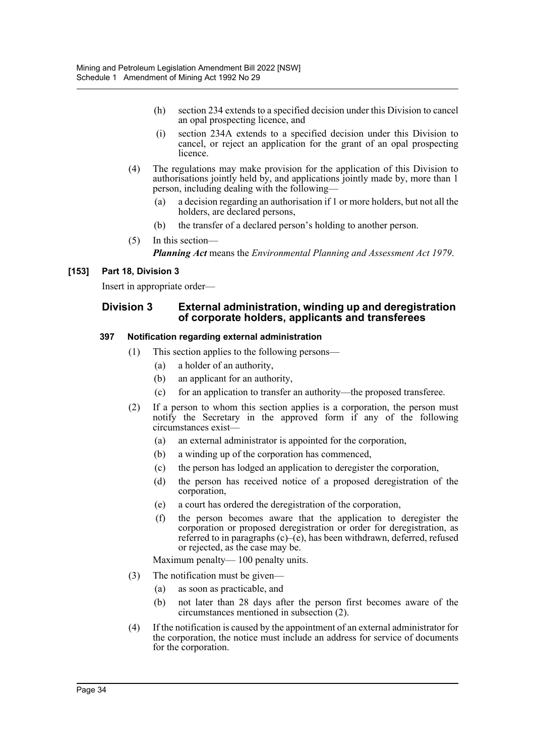- (h) section 234 extends to a specified decision under this Division to cancel an opal prospecting licence, and
- (i) section 234A extends to a specified decision under this Division to cancel, or reject an application for the grant of an opal prospecting licence.
- (4) The regulations may make provision for the application of this Division to authorisations jointly held by, and applications jointly made by, more than 1 person, including dealing with the following—
	- (a) a decision regarding an authorisation if 1 or more holders, but not all the holders, are declared persons,
	- (b) the transfer of a declared person's holding to another person.
- (5) In this section—

*Planning Act* means the *Environmental Planning and Assessment Act 1979*.

#### **[153] Part 18, Division 3**

Insert in appropriate order—

#### **Division 3 External administration, winding up and deregistration of corporate holders, applicants and transferees**

#### **397 Notification regarding external administration**

- (1) This section applies to the following persons—
	- (a) a holder of an authority,
	- (b) an applicant for an authority,
	- (c) for an application to transfer an authority—the proposed transferee.
- (2) If a person to whom this section applies is a corporation, the person must notify the Secretary in the approved form if any of the following circumstances exist—
	- (a) an external administrator is appointed for the corporation,
	- (b) a winding up of the corporation has commenced,
	- (c) the person has lodged an application to deregister the corporation,
	- (d) the person has received notice of a proposed deregistration of the corporation,
	- (e) a court has ordered the deregistration of the corporation,
	- (f) the person becomes aware that the application to deregister the corporation or proposed deregistration or order for deregistration, as referred to in paragraphs  $(c)$ – $(e)$ , has been withdrawn, deferred, refused or rejected, as the case may be.

Maximum penalty— 100 penalty units.

- (3) The notification must be given—
	- (a) as soon as practicable, and
	- (b) not later than 28 days after the person first becomes aware of the circumstances mentioned in subsection (2).
- (4) If the notification is caused by the appointment of an external administrator for the corporation, the notice must include an address for service of documents for the corporation.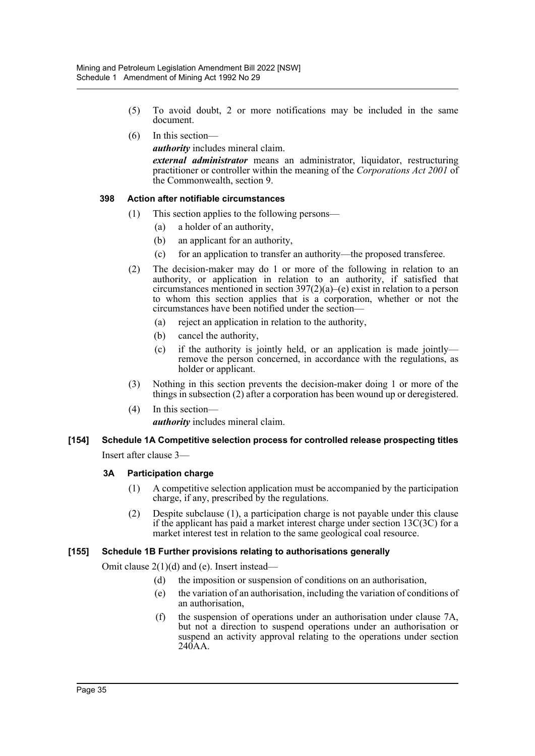- (5) To avoid doubt, 2 or more notifications may be included in the same document.
- (6) In this section—

*authority* includes mineral claim.

*external administrator* means an administrator, liquidator, restructuring practitioner or controller within the meaning of the *Corporations Act 2001* of the Commonwealth, section 9.

#### **398 Action after notifiable circumstances**

- (1) This section applies to the following persons—
	- (a) a holder of an authority,
	- (b) an applicant for an authority,
	- (c) for an application to transfer an authority—the proposed transferee.
- (2) The decision-maker may do 1 or more of the following in relation to an authority, or application in relation to an authority, if satisfied that circumstances mentioned in section 397(2)(a)–(e) exist in relation to a person to whom this section applies that is a corporation, whether or not the circumstances have been notified under the section—
	- (a) reject an application in relation to the authority,
	- (b) cancel the authority,
	- (c) if the authority is jointly held, or an application is made jointly remove the person concerned, in accordance with the regulations, as holder or applicant.
- (3) Nothing in this section prevents the decision-maker doing 1 or more of the things in subsection (2) after a corporation has been wound up or deregistered.
- (4) In this section *authority* includes mineral claim.

## **[154] Schedule 1A Competitive selection process for controlled release prospecting titles** Insert after clause 3—

#### **3A Participation charge**

- (1) A competitive selection application must be accompanied by the participation charge, if any, prescribed by the regulations.
- (2) Despite subclause (1), a participation charge is not payable under this clause if the applicant has paid a market interest charge under section 13C(3C) for a market interest test in relation to the same geological coal resource.

#### **[155] Schedule 1B Further provisions relating to authorisations generally**

Omit clause 2(1)(d) and (e). Insert instead—

- (d) the imposition or suspension of conditions on an authorisation,
- (e) the variation of an authorisation, including the variation of conditions of an authorisation,
- (f) the suspension of operations under an authorisation under clause 7A, but not a direction to suspend operations under an authorisation or suspend an activity approval relating to the operations under section 240AA.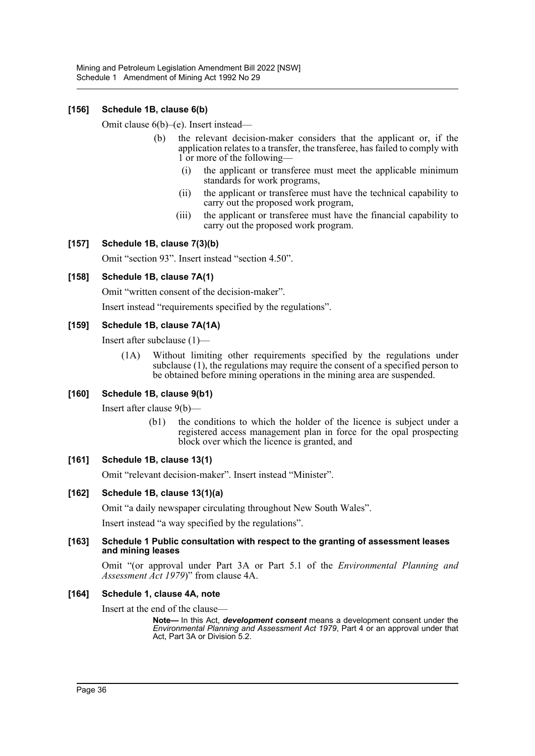#### **[156] Schedule 1B, clause 6(b)**

Omit clause 6(b)–(e). Insert instead—

- (b) the relevant decision-maker considers that the applicant or, if the application relates to a transfer, the transferee, has failed to comply with 1 or more of the following—
	- (i) the applicant or transferee must meet the applicable minimum standards for work programs,
	- (ii) the applicant or transferee must have the technical capability to carry out the proposed work program,
	- (iii) the applicant or transferee must have the financial capability to carry out the proposed work program.

#### **[157] Schedule 1B, clause 7(3)(b)**

Omit "section 93". Insert instead "section 4.50".

#### **[158] Schedule 1B, clause 7A(1)**

Omit "written consent of the decision-maker".

Insert instead "requirements specified by the regulations".

#### **[159] Schedule 1B, clause 7A(1A)**

Insert after subclause (1)—

(1A) Without limiting other requirements specified by the regulations under subclause (1), the regulations may require the consent of a specified person to be obtained before mining operations in the mining area are suspended.

#### **[160] Schedule 1B, clause 9(b1)**

Insert after clause 9(b)—

(b1) the conditions to which the holder of the licence is subject under a registered access management plan in force for the opal prospecting block over which the licence is granted, and

#### **[161] Schedule 1B, clause 13(1)**

Omit "relevant decision-maker". Insert instead "Minister".

#### **[162] Schedule 1B, clause 13(1)(a)**

Omit "a daily newspaper circulating throughout New South Wales".

Insert instead "a way specified by the regulations".

#### **[163] Schedule 1 Public consultation with respect to the granting of assessment leases and mining leases**

Omit "(or approval under Part 3A or Part 5.1 of the *Environmental Planning and Assessment Act 1979*)" from clause 4A.

#### **[164] Schedule 1, clause 4A, note**

Insert at the end of the clause—

**Note—** In this Act, *development consent* means a development consent under the *Environmental Planning and Assessment Act 1979*, Part 4 or an approval under that Act, Part 3A or Division 5.2.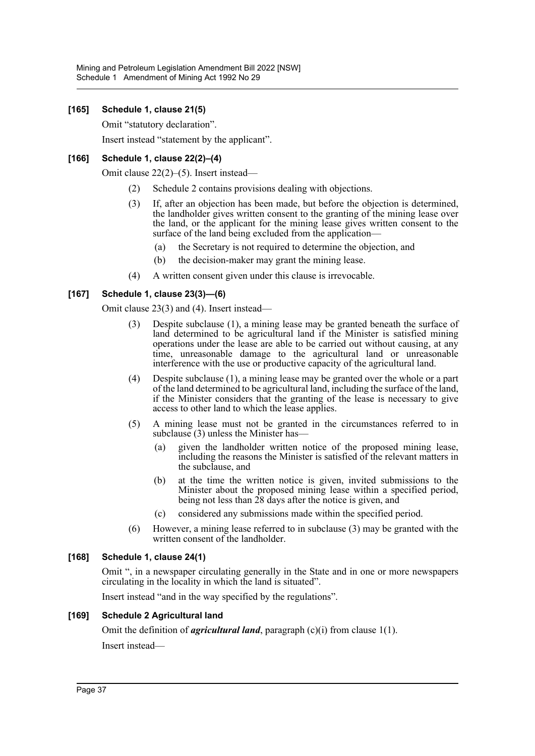#### **[165] Schedule 1, clause 21(5)**

Omit "statutory declaration".

Insert instead "statement by the applicant".

#### **[166] Schedule 1, clause 22(2)–(4)**

Omit clause 22(2)–(5). Insert instead—

- (2) Schedule 2 contains provisions dealing with objections.
- (3) If, after an objection has been made, but before the objection is determined, the landholder gives written consent to the granting of the mining lease over the land, or the applicant for the mining lease gives written consent to the surface of the land being excluded from the application—
	- (a) the Secretary is not required to determine the objection, and
	- (b) the decision-maker may grant the mining lease.
- (4) A written consent given under this clause is irrevocable.

#### **[167] Schedule 1, clause 23(3)—(6)**

Omit clause 23(3) and (4). Insert instead—

- (3) Despite subclause (1), a mining lease may be granted beneath the surface of land determined to be agricultural land if the Minister is satisfied mining operations under the lease are able to be carried out without causing, at any time, unreasonable damage to the agricultural land or unreasonable interference with the use or productive capacity of the agricultural land.
- (4) Despite subclause (1), a mining lease may be granted over the whole or a part of the land determined to be agricultural land, including the surface of the land, if the Minister considers that the granting of the lease is necessary to give access to other land to which the lease applies.
- (5) A mining lease must not be granted in the circumstances referred to in subclause (3) unless the Minister has-
	- (a) given the landholder written notice of the proposed mining lease, including the reasons the Minister is satisfied of the relevant matters in the subclause, and
	- (b) at the time the written notice is given, invited submissions to the Minister about the proposed mining lease within a specified period, being not less than 28 days after the notice is given, and
	- (c) considered any submissions made within the specified period.
- (6) However, a mining lease referred to in subclause (3) may be granted with the written consent of the landholder.

#### **[168] Schedule 1, clause 24(1)**

Omit ", in a newspaper circulating generally in the State and in one or more newspapers circulating in the locality in which the land is situated".

Insert instead "and in the way specified by the regulations".

#### **[169] Schedule 2 Agricultural land**

Omit the definition of *agricultural land*, paragraph (c)(i) from clause 1(1). Insert instead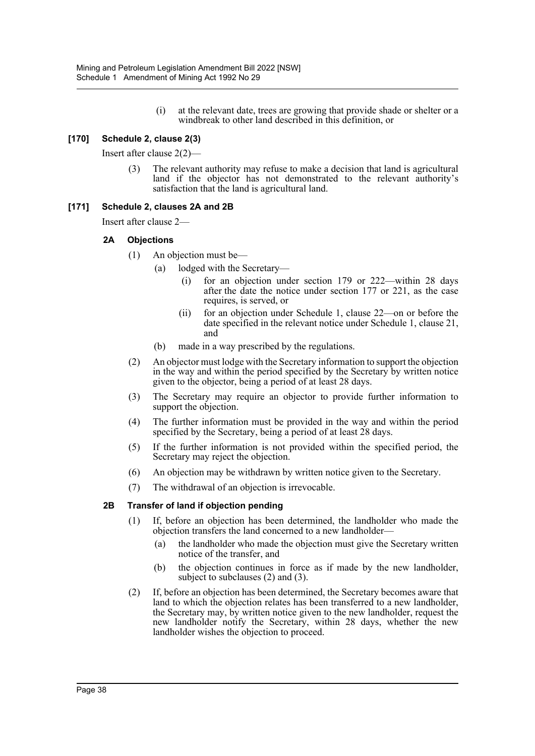(i) at the relevant date, trees are growing that provide shade or shelter or a windbreak to other land described in this definition, or

#### **[170] Schedule 2, clause 2(3)**

Insert after clause 2(2)—

The relevant authority may refuse to make a decision that land is agricultural land if the objector has not demonstrated to the relevant authority's satisfaction that the land is agricultural land.

#### **[171] Schedule 2, clauses 2A and 2B**

Insert after clause 2—

#### **2A Objections**

- (1) An objection must be—
	- (a) lodged with the Secretary—
		- (i) for an objection under section 179 or 222—within 28 days after the date the notice under section 177 or 221, as the case requires, is served, or
		- (ii) for an objection under Schedule 1, clause 22—on or before the date specified in the relevant notice under Schedule 1, clause 21, and
	- (b) made in a way prescribed by the regulations.
- (2) An objector must lodge with the Secretary information to support the objection in the way and within the period specified by the Secretary by written notice given to the objector, being a period of at least 28 days.
- (3) The Secretary may require an objector to provide further information to support the objection.
- (4) The further information must be provided in the way and within the period specified by the Secretary, being a period of at least 28 days.
- (5) If the further information is not provided within the specified period, the Secretary may reject the objection.
- (6) An objection may be withdrawn by written notice given to the Secretary.
- (7) The withdrawal of an objection is irrevocable.

#### **2B Transfer of land if objection pending**

- (1) If, before an objection has been determined, the landholder who made the objection transfers the land concerned to a new landholder—
	- (a) the landholder who made the objection must give the Secretary written notice of the transfer, and
	- (b) the objection continues in force as if made by the new landholder, subject to subclauses (2) and (3).
- (2) If, before an objection has been determined, the Secretary becomes aware that land to which the objection relates has been transferred to a new landholder, the Secretary may, by written notice given to the new landholder, request the new landholder notify the Secretary, within 28 days, whether the new landholder wishes the objection to proceed.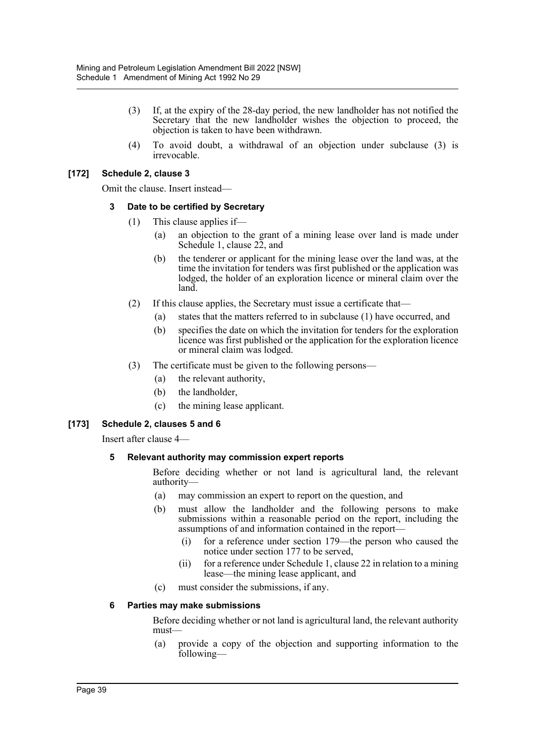- (3) If, at the expiry of the 28-day period, the new landholder has not notified the Secretary that the new landholder wishes the objection to proceed, the objection is taken to have been withdrawn.
- (4) To avoid doubt, a withdrawal of an objection under subclause (3) is irrevocable.

#### **[172] Schedule 2, clause 3**

Omit the clause. Insert instead—

#### **3 Date to be certified by Secretary**

- (1) This clause applies if—
	- (a) an objection to the grant of a mining lease over land is made under Schedule 1, clause 22, and
	- (b) the tenderer or applicant for the mining lease over the land was, at the time the invitation for tenders was first published or the application was lodged, the holder of an exploration licence or mineral claim over the land.
- (2) If this clause applies, the Secretary must issue a certificate that—
	- (a) states that the matters referred to in subclause (1) have occurred, and
	- (b) specifies the date on which the invitation for tenders for the exploration licence was first published or the application for the exploration licence or mineral claim was lodged.
- (3) The certificate must be given to the following persons—
	- (a) the relevant authority,
	- (b) the landholder,
	- (c) the mining lease applicant.

#### **[173] Schedule 2, clauses 5 and 6**

Insert after clause 4—

#### **5 Relevant authority may commission expert reports**

Before deciding whether or not land is agricultural land, the relevant authority—

- (a) may commission an expert to report on the question, and
- (b) must allow the landholder and the following persons to make submissions within a reasonable period on the report, including the assumptions of and information contained in the report—
	- (i) for a reference under section 179—the person who caused the notice under section 177 to be served,
	- (ii) for a reference under Schedule 1, clause 22 in relation to a mining lease—the mining lease applicant, and
- (c) must consider the submissions, if any.

#### **6 Parties may make submissions**

Before deciding whether or not land is agricultural land, the relevant authority must—

(a) provide a copy of the objection and supporting information to the following—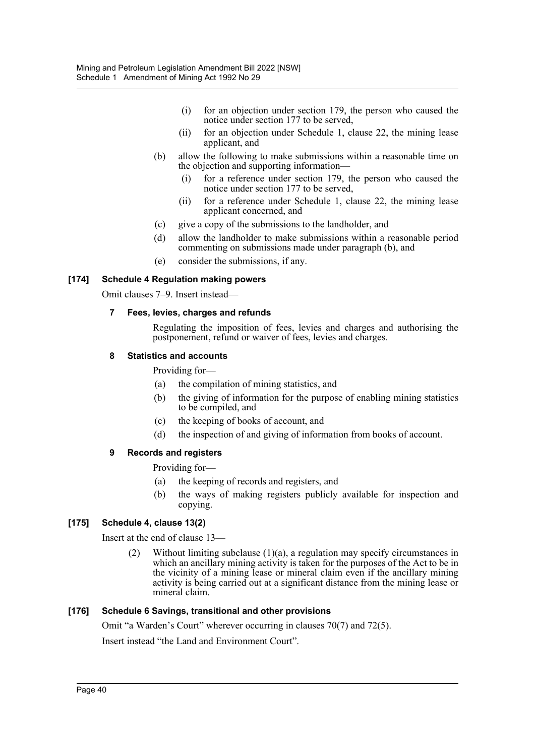- (i) for an objection under section 179, the person who caused the notice under section 177 to be served,
- (ii) for an objection under Schedule 1, clause 22, the mining lease applicant, and
- (b) allow the following to make submissions within a reasonable time on the objection and supporting information—
	- (i) for a reference under section 179, the person who caused the notice under section 177 to be served,
	- (ii) for a reference under Schedule 1, clause 22, the mining lease applicant concerned, and
- (c) give a copy of the submissions to the landholder, and
- (d) allow the landholder to make submissions within a reasonable period commenting on submissions made under paragraph (b), and
- (e) consider the submissions, if any.

#### **[174] Schedule 4 Regulation making powers**

Omit clauses 7–9. Insert instead—

#### **7 Fees, levies, charges and refunds**

Regulating the imposition of fees, levies and charges and authorising the postponement, refund or waiver of fees, levies and charges.

#### **8 Statistics and accounts**

Providing for—

- (a) the compilation of mining statistics, and
- (b) the giving of information for the purpose of enabling mining statistics to be compiled, and
- (c) the keeping of books of account, and
- (d) the inspection of and giving of information from books of account.

#### **9 Records and registers**

Providing for—

- (a) the keeping of records and registers, and
- (b) the ways of making registers publicly available for inspection and copying.

#### **[175] Schedule 4, clause 13(2)**

Insert at the end of clause 13—

(2) Without limiting subclause (1)(a), a regulation may specify circumstances in which an ancillary mining activity is taken for the purposes of the Act to be in the vicinity of a mining lease or mineral claim even if the ancillary mining activity is being carried out at a significant distance from the mining lease or mineral claim.

#### **[176] Schedule 6 Savings, transitional and other provisions**

Omit "a Warden's Court" wherever occurring in clauses 70(7) and 72(5).

Insert instead "the Land and Environment Court".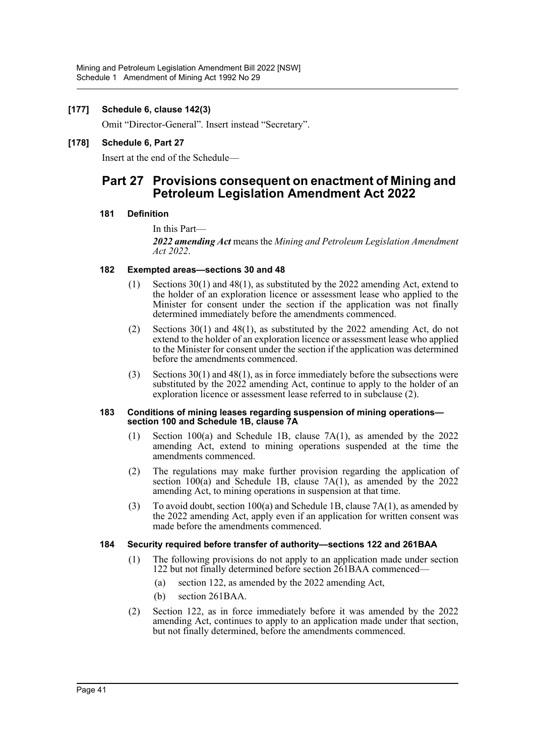#### **[177] Schedule 6, clause 142(3)**

Omit "Director-General". Insert instead "Secretary".

#### **[178] Schedule 6, Part 27**

Insert at the end of the Schedule—

# **Part 27 Provisions consequent on enactment of Mining and Petroleum Legislation Amendment Act 2022**

#### **181 Definition**

In this Part— *2022 amending Act* means the *Mining and Petroleum Legislation Amendment Act 2022*.

#### **182 Exempted areas—sections 30 and 48**

- (1) Sections 30(1) and 48(1), as substituted by the 2022 amending Act, extend to the holder of an exploration licence or assessment lease who applied to the Minister for consent under the section if the application was not finally determined immediately before the amendments commenced.
- (2) Sections 30(1) and 48(1), as substituted by the 2022 amending Act, do not extend to the holder of an exploration licence or assessment lease who applied to the Minister for consent under the section if the application was determined before the amendments commenced.
- (3) Sections 30(1) and 48(1), as in force immediately before the subsections were substituted by the  $2022$  amending Act, continue to apply to the holder of an exploration licence or assessment lease referred to in subclause (2).

#### **183 Conditions of mining leases regarding suspension of mining operations section 100 and Schedule 1B, clause 7A**

- (1) Section 100(a) and Schedule 1B, clause 7A(1), as amended by the 2022 amending Act, extend to mining operations suspended at the time the amendments commenced.
- (2) The regulations may make further provision regarding the application of section  $100(a)$  and Schedule 1B, clause  $7A(1)$ , as amended by the 2022 amending Act, to mining operations in suspension at that time.
- (3) To avoid doubt, section 100(a) and Schedule 1B, clause  $7A(1)$ , as amended by the 2022 amending Act, apply even if an application for written consent was made before the amendments commenced.

#### **184 Security required before transfer of authority—sections 122 and 261BAA**

- (1) The following provisions do not apply to an application made under section 122 but not finally determined before section 261BAA commenced—
	- (a) section 122, as amended by the 2022 amending Act,
	- (b) section 261BAA.
- (2) Section 122, as in force immediately before it was amended by the 2022 amending Act, continues to apply to an application made under that section, but not finally determined, before the amendments commenced.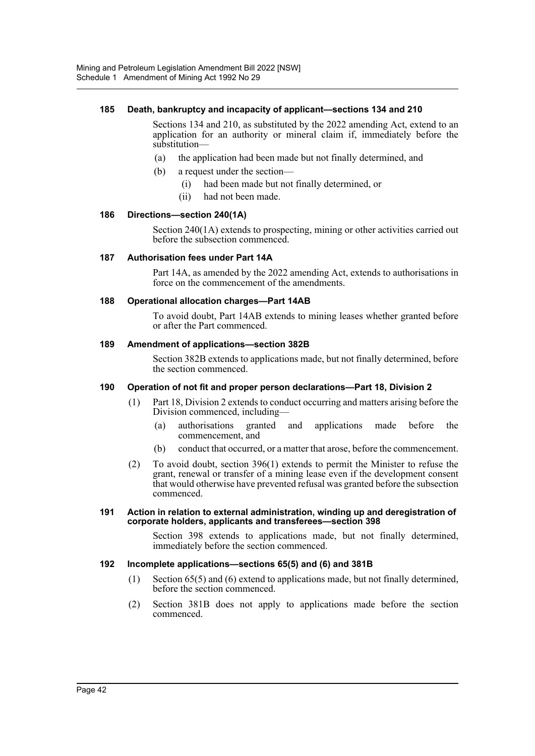#### **185 Death, bankruptcy and incapacity of applicant—sections 134 and 210**

Sections 134 and 210, as substituted by the 2022 amending Act, extend to an application for an authority or mineral claim if, immediately before the substitution—

- (a) the application had been made but not finally determined, and
- (b) a request under the section—
	- (i) had been made but not finally determined, or
	- (ii) had not been made.

#### **186 Directions—section 240(1A)**

Section 240(1A) extends to prospecting, mining or other activities carried out before the subsection commenced.

#### **187 Authorisation fees under Part 14A**

Part 14A, as amended by the 2022 amending Act, extends to authorisations in force on the commencement of the amendments.

#### **188 Operational allocation charges—Part 14AB**

To avoid doubt, Part 14AB extends to mining leases whether granted before or after the Part commenced.

#### **189 Amendment of applications—section 382B**

Section 382B extends to applications made, but not finally determined, before the section commenced.

#### **190 Operation of not fit and proper person declarations—Part 18, Division 2**

- (1) Part 18, Division 2 extends to conduct occurring and matters arising before the Division commenced, including—
	- (a) authorisations granted and applications made before the commencement, and
	- (b) conduct that occurred, or a matter that arose, before the commencement.
- (2) To avoid doubt, section 396(1) extends to permit the Minister to refuse the grant, renewal or transfer of a mining lease even if the development consent that would otherwise have prevented refusal was granted before the subsection commenced.

#### **191 Action in relation to external administration, winding up and deregistration of corporate holders, applicants and transferees—section 398**

Section 398 extends to applications made, but not finally determined, immediately before the section commenced.

#### **192 Incomplete applications—sections 65(5) and (6) and 381B**

- (1) Section 65(5) and (6) extend to applications made, but not finally determined, before the section commenced.
- (2) Section 381B does not apply to applications made before the section commenced.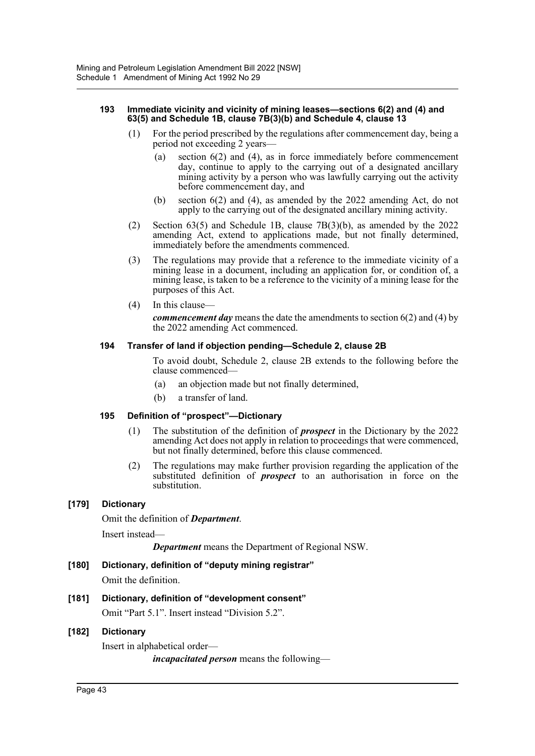#### **193 Immediate vicinity and vicinity of mining leases—sections 6(2) and (4) and 63(5) and Schedule 1B, clause 7B(3)(b) and Schedule 4, clause 13**

- (1) For the period prescribed by the regulations after commencement day, being a period not exceeding 2 years—
	- (a) section 6(2) and (4), as in force immediately before commencement day, continue to apply to the carrying out of a designated ancillary mining activity by a person who was lawfully carrying out the activity before commencement day, and
	- (b) section 6(2) and (4), as amended by the 2022 amending Act, do not apply to the carrying out of the designated ancillary mining activity.
- (2) Section 63(5) and Schedule 1B, clause 7B(3)(b), as amended by the 2022 amending Act, extend to applications made, but not finally determined, immediately before the amendments commenced.
- (3) The regulations may provide that a reference to the immediate vicinity of a mining lease in a document, including an application for, or condition of, a mining lease, is taken to be a reference to the vicinity of a mining lease for the purposes of this Act.
- (4) In this clause—

*commencement day* means the date the amendments to section 6(2) and (4) by the 2022 amending Act commenced.

#### **194 Transfer of land if objection pending—Schedule 2, clause 2B**

To avoid doubt, Schedule 2, clause 2B extends to the following before the clause commenced—

- (a) an objection made but not finally determined,
- (b) a transfer of land.

#### **195 Definition of "prospect"—Dictionary**

- (1) The substitution of the definition of *prospect* in the Dictionary by the 2022 amending Act does not apply in relation to proceedings that were commenced, but not finally determined, before this clause commenced.
- (2) The regulations may make further provision regarding the application of the substituted definition of *prospect* to an authorisation in force on the substitution.

#### **[179] Dictionary**

Omit the definition of *Department*.

Insert instead—

*Department* means the Department of Regional NSW.

#### **[180] Dictionary, definition of "deputy mining registrar"**

Omit the definition.

#### **[181] Dictionary, definition of "development consent"**

Omit "Part 5.1". Insert instead "Division 5.2".

#### **[182] Dictionary**

Insert in alphabetical order—

*incapacitated person* means the following—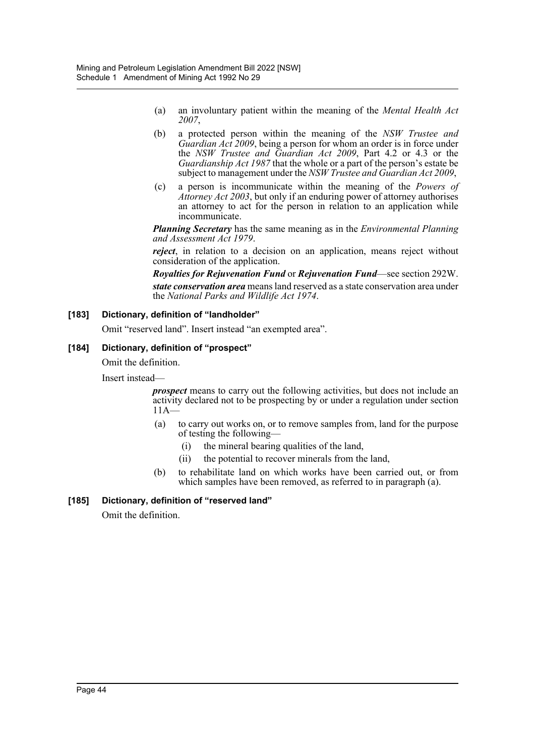- (a) an involuntary patient within the meaning of the *Mental Health Act 2007*,
- (b) a protected person within the meaning of the *NSW Trustee and Guardian Act 2009*, being a person for whom an order is in force under the *NSW Trustee and Guardian Act 2009*, Part 4.2 or 4.3 or the *Guardianship Act 1987* that the whole or a part of the person's estate be subject to management under the *NSW Trustee and Guardian Act 2009*,
- (c) a person is incommunicate within the meaning of the *Powers of Attorney Act 2003*, but only if an enduring power of attorney authorises an attorney to act for the person in relation to an application while incommunicate.

*Planning Secretary* has the same meaning as in the *Environmental Planning and Assessment Act 1979*.

*reject*, in relation to a decision on an application, means reject without consideration of the application.

*Royalties for Rejuvenation Fund* or *Rejuvenation Fund*—see section 292W. *state conservation area* means land reserved as a state conservation area under the *National Parks and Wildlife Act 1974*.

#### **[183] Dictionary, definition of "landholder"**

Omit "reserved land". Insert instead "an exempted area".

#### **[184] Dictionary, definition of "prospect"**

Omit the definition.

Insert instead—

*prospect* means to carry out the following activities, but does not include an activity declared not to be prospecting by or under a regulation under section  $11A-$ 

- (a) to carry out works on, or to remove samples from, land for the purpose of testing the following—
	- (i) the mineral bearing qualities of the land,
	- (ii) the potential to recover minerals from the land,
- (b) to rehabilitate land on which works have been carried out, or from which samples have been removed, as referred to in paragraph (a).

#### **[185] Dictionary, definition of "reserved land"**

Omit the definition.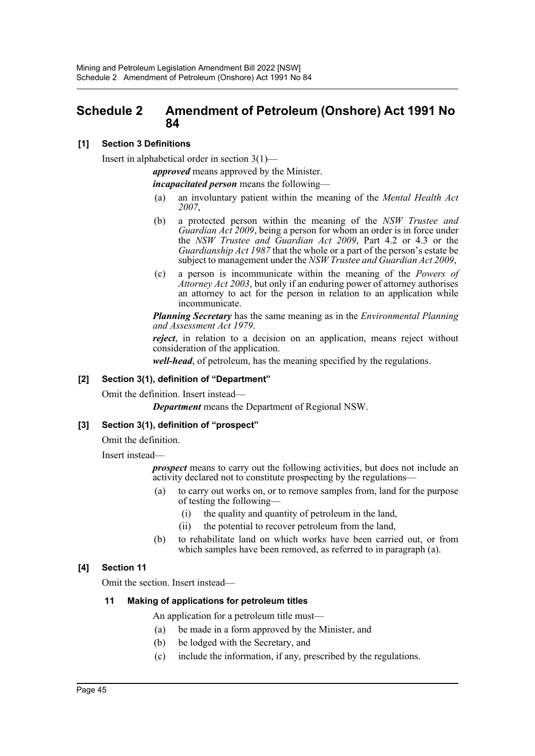# <span id="page-45-0"></span>**Schedule 2 Amendment of Petroleum (Onshore) Act 1991 No 84**

### **[1] Section 3 Definitions**

Insert in alphabetical order in section 3(1)—

*approved* means approved by the Minister.

*incapacitated person* means the following—

- (a) an involuntary patient within the meaning of the *Mental Health Act 2007*,
- (b) a protected person within the meaning of the *NSW Trustee and Guardian Act 2009*, being a person for whom an order is in force under the *NSW Trustee and Guardian Act 2009*, Part 4.2 or 4.3 or the *Guardianship Act 1987* that the whole or a part of the person's estate be subject to management under the *NSW Trustee and Guardian Act 2009*,
- (c) a person is incommunicate within the meaning of the *Powers of Attorney Act 2003*, but only if an enduring power of attorney authorises an attorney to act for the person in relation to an application while incommunicate.

*Planning Secretary* has the same meaning as in the *Environmental Planning and Assessment Act 1979*.

*reject*, in relation to a decision on an application, means reject without consideration of the application.

*well-head*, of petroleum, has the meaning specified by the regulations.

#### **[2] Section 3(1), definition of "Department"**

Omit the definition. Insert instead—

*Department* means the Department of Regional NSW.

#### **[3] Section 3(1), definition of "prospect"**

Omit the definition.

Insert instead—

*prospect* means to carry out the following activities, but does not include an activity declared not to constitute prospecting by the regulations—

- (a) to carry out works on, or to remove samples from, land for the purpose of testing the following—
	- (i) the quality and quantity of petroleum in the land,
	- (ii) the potential to recover petroleum from the land,
- (b) to rehabilitate land on which works have been carried out, or from which samples have been removed, as referred to in paragraph (a).

#### **[4] Section 11**

Omit the section. Insert instead—

#### **11 Making of applications for petroleum titles**

An application for a petroleum title must—

- (a) be made in a form approved by the Minister, and
- (b) be lodged with the Secretary, and
- (c) include the information, if any, prescribed by the regulations.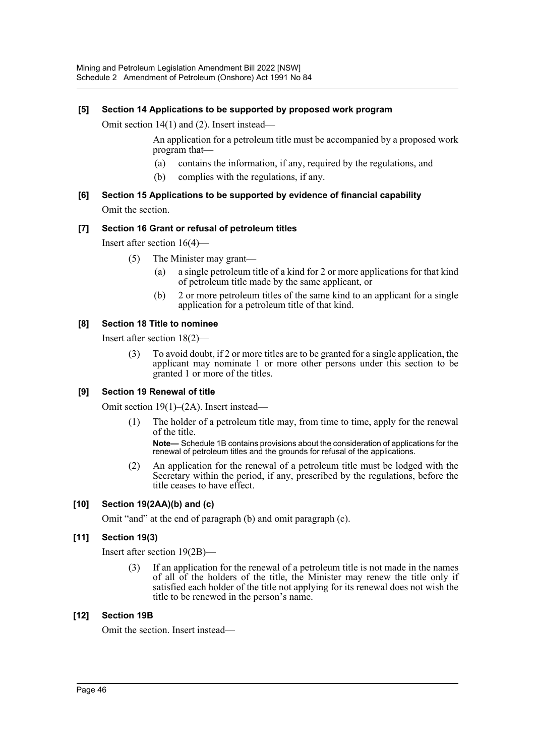#### **[5] Section 14 Applications to be supported by proposed work program**

Omit section 14(1) and (2). Insert instead—

An application for a petroleum title must be accompanied by a proposed work program that—

- (a) contains the information, if any, required by the regulations, and
- (b) complies with the regulations, if any.

# **[6] Section 15 Applications to be supported by evidence of financial capability** Omit the section.

#### **[7] Section 16 Grant or refusal of petroleum titles**

Insert after section 16(4)—

- (5) The Minister may grant—
	- (a) a single petroleum title of a kind for 2 or more applications for that kind of petroleum title made by the same applicant, or
	- (b) 2 or more petroleum titles of the same kind to an applicant for a single application for a petroleum title of that kind.

#### **[8] Section 18 Title to nominee**

Insert after section 18(2)—

(3) To avoid doubt, if 2 or more titles are to be granted for a single application, the applicant may nominate 1 or more other persons under this section to be granted 1 or more of the titles.

#### **[9] Section 19 Renewal of title**

Omit section 19(1)–(2A). Insert instead—

(1) The holder of a petroleum title may, from time to time, apply for the renewal of the title.

**Note—** Schedule 1B contains provisions about the consideration of applications for the renewal of petroleum titles and the grounds for refusal of the applications.

(2) An application for the renewal of a petroleum title must be lodged with the Secretary within the period, if any, prescribed by the regulations, before the title ceases to have effect.

#### **[10] Section 19(2AA)(b) and (c)**

Omit "and" at the end of paragraph (b) and omit paragraph (c).

#### **[11] Section 19(3)**

Insert after section 19(2B)—

(3) If an application for the renewal of a petroleum title is not made in the names of all of the holders of the title, the Minister may renew the title only if satisfied each holder of the title not applying for its renewal does not wish the title to be renewed in the person's name.

#### **[12] Section 19B**

Omit the section. Insert instead—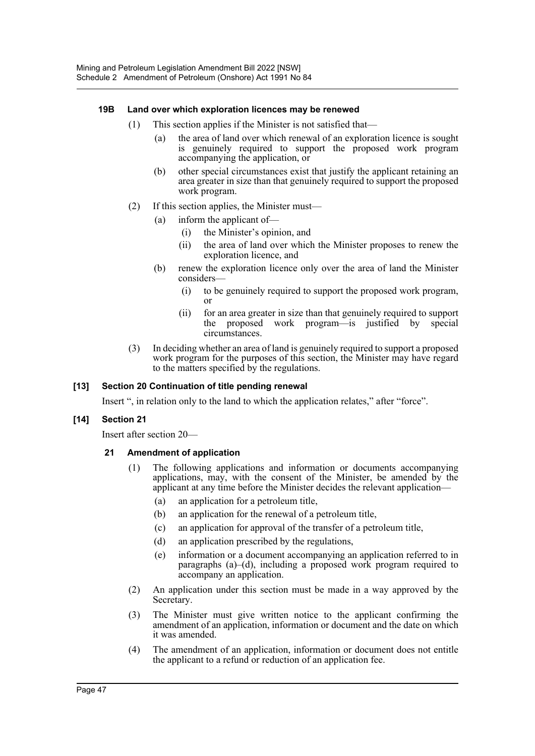#### **19B Land over which exploration licences may be renewed**

- (1) This section applies if the Minister is not satisfied that—
	- (a) the area of land over which renewal of an exploration licence is sought is genuinely required to support the proposed work program accompanying the application, or
	- (b) other special circumstances exist that justify the applicant retaining an area greater in size than that genuinely required to support the proposed work program.
- (2) If this section applies, the Minister must—
	- (a) inform the applicant of—
		- (i) the Minister's opinion, and
		- (ii) the area of land over which the Minister proposes to renew the exploration licence, and
	- (b) renew the exploration licence only over the area of land the Minister considers—
		- (i) to be genuinely required to support the proposed work program, or
		- (ii) for an area greater in size than that genuinely required to support the proposed work program—is justified by special circumstances.
- (3) In deciding whether an area of land is genuinely required to support a proposed work program for the purposes of this section, the Minister may have regard to the matters specified by the regulations.

#### **[13] Section 20 Continuation of title pending renewal**

Insert ", in relation only to the land to which the application relates," after "force".

#### **[14] Section 21**

Insert after section 20—

#### **21 Amendment of application**

- (1) The following applications and information or documents accompanying applications, may, with the consent of the Minister, be amended by the applicant at any time before the Minister decides the relevant application—
	- (a) an application for a petroleum title,
	- (b) an application for the renewal of a petroleum title,
	- (c) an application for approval of the transfer of a petroleum title,
	- (d) an application prescribed by the regulations,
	- (e) information or a document accompanying an application referred to in paragraphs  $(a)$ –(d), including a proposed work program required to accompany an application.
- (2) An application under this section must be made in a way approved by the Secretary.
- (3) The Minister must give written notice to the applicant confirming the amendment of an application, information or document and the date on which it was amended.
- (4) The amendment of an application, information or document does not entitle the applicant to a refund or reduction of an application fee.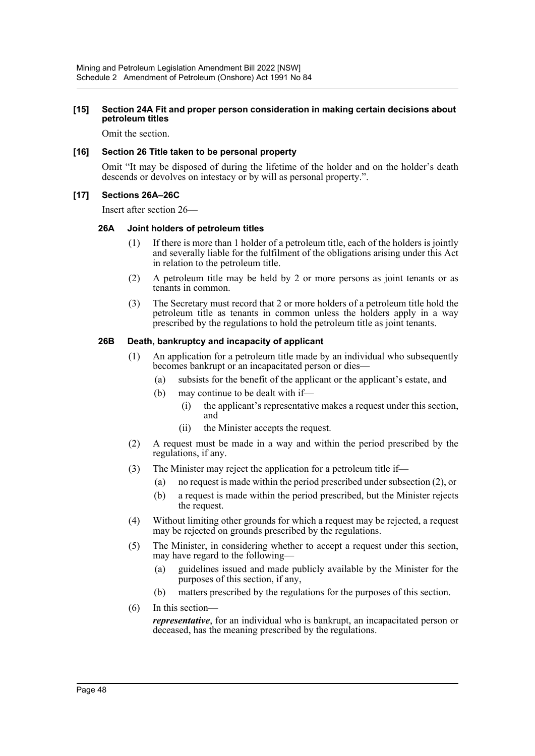#### **[15] Section 24A Fit and proper person consideration in making certain decisions about petroleum titles**

Omit the section.

#### **[16] Section 26 Title taken to be personal property**

Omit "It may be disposed of during the lifetime of the holder and on the holder's death descends or devolves on intestacy or by will as personal property.".

#### **[17] Sections 26A–26C**

Insert after section 26—

#### **26A Joint holders of petroleum titles**

- (1) If there is more than 1 holder of a petroleum title, each of the holders is jointly and severally liable for the fulfilment of the obligations arising under this Act in relation to the petroleum title.
- (2) A petroleum title may be held by 2 or more persons as joint tenants or as tenants in common.
- (3) The Secretary must record that 2 or more holders of a petroleum title hold the petroleum title as tenants in common unless the holders apply in a way prescribed by the regulations to hold the petroleum title as joint tenants.

#### **26B Death, bankruptcy and incapacity of applicant**

- (1) An application for a petroleum title made by an individual who subsequently becomes bankrupt or an incapacitated person or dies—
	- (a) subsists for the benefit of the applicant or the applicant's estate, and
	- (b) may continue to be dealt with if—
		- (i) the applicant's representative makes a request under this section, and
		- (ii) the Minister accepts the request.
- (2) A request must be made in a way and within the period prescribed by the regulations, if any.
- (3) The Minister may reject the application for a petroleum title if—
	- (a) no request is made within the period prescribed under subsection (2), or
	- (b) a request is made within the period prescribed, but the Minister rejects the request.
- (4) Without limiting other grounds for which a request may be rejected, a request may be rejected on grounds prescribed by the regulations.
- (5) The Minister, in considering whether to accept a request under this section, may have regard to the following—
	- (a) guidelines issued and made publicly available by the Minister for the purposes of this section, if any,
	- (b) matters prescribed by the regulations for the purposes of this section.
- (6) In this section—

*representative*, for an individual who is bankrupt, an incapacitated person or deceased, has the meaning prescribed by the regulations.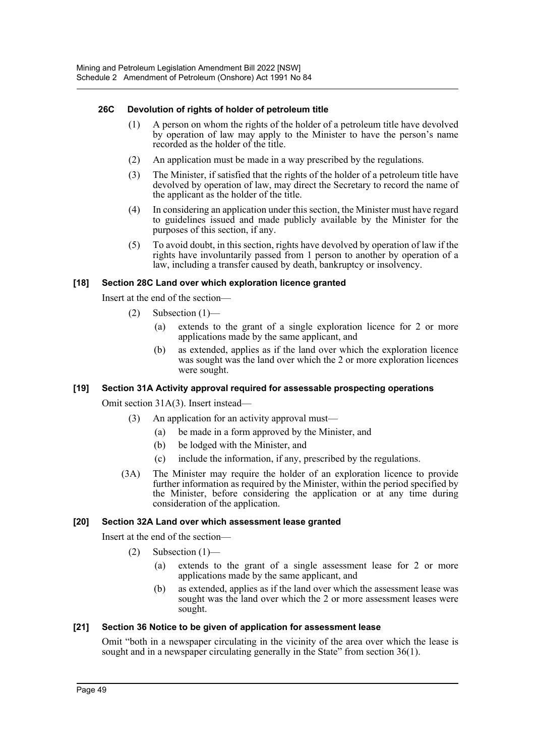#### **26C Devolution of rights of holder of petroleum title**

- (1) A person on whom the rights of the holder of a petroleum title have devolved by operation of law may apply to the Minister to have the person's name recorded as the holder of the title.
- (2) An application must be made in a way prescribed by the regulations.
- (3) The Minister, if satisfied that the rights of the holder of a petroleum title have devolved by operation of law, may direct the Secretary to record the name of the applicant as the holder of the title.
- (4) In considering an application under this section, the Minister must have regard to guidelines issued and made publicly available by the Minister for the purposes of this section, if any.
- (5) To avoid doubt, in this section, rights have devolved by operation of law if the rights have involuntarily passed from 1 person to another by operation of a law, including a transfer caused by death, bankruptcy or insolvency.

#### **[18] Section 28C Land over which exploration licence granted**

Insert at the end of the section—

- (2) Subsection (1)—
	- (a) extends to the grant of a single exploration licence for 2 or more applications made by the same applicant, and
	- (b) as extended, applies as if the land over which the exploration licence was sought was the land over which the 2 or more exploration licences were sought.

#### **[19] Section 31A Activity approval required for assessable prospecting operations**

Omit section 31A(3). Insert instead—

- (3) An application for an activity approval must—
	- (a) be made in a form approved by the Minister, and
	- (b) be lodged with the Minister, and
	- (c) include the information, if any, prescribed by the regulations.
- (3A) The Minister may require the holder of an exploration licence to provide further information as required by the Minister, within the period specified by the Minister, before considering the application or at any time during consideration of the application.

#### **[20] Section 32A Land over which assessment lease granted**

Insert at the end of the section—

- $(2)$  Subsection  $(1)$ 
	- (a) extends to the grant of a single assessment lease for 2 or more applications made by the same applicant, and
	- (b) as extended, applies as if the land over which the assessment lease was sought was the land over which the 2 or more assessment leases were sought.

#### **[21] Section 36 Notice to be given of application for assessment lease**

Omit "both in a newspaper circulating in the vicinity of the area over which the lease is sought and in a newspaper circulating generally in the State" from section 36(1).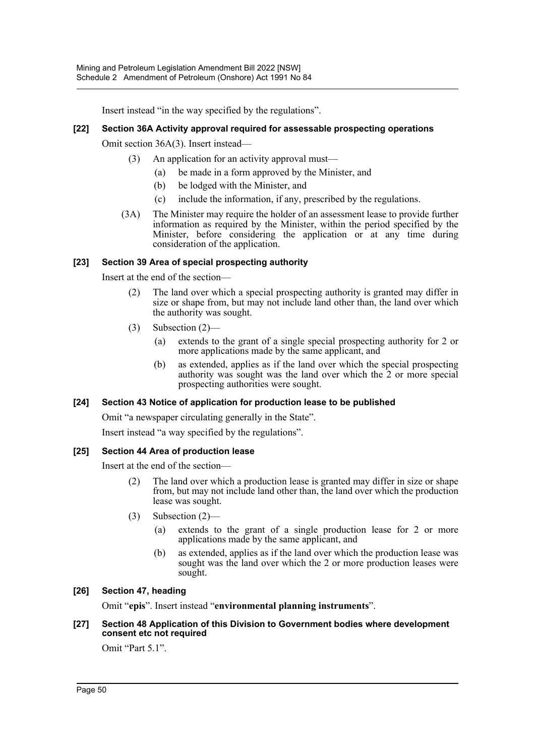Insert instead "in the way specified by the regulations".

### **[22] Section 36A Activity approval required for assessable prospecting operations**

Omit section 36A(3). Insert instead—

- (3) An application for an activity approval must—
	- (a) be made in a form approved by the Minister, and
	- (b) be lodged with the Minister, and
	- (c) include the information, if any, prescribed by the regulations.
- (3A) The Minister may require the holder of an assessment lease to provide further information as required by the Minister, within the period specified by the Minister, before considering the application or at any time during consideration of the application.

#### **[23] Section 39 Area of special prospecting authority**

Insert at the end of the section—

- (2) The land over which a special prospecting authority is granted may differ in size or shape from, but may not include land other than, the land over which the authority was sought.
- (3) Subsection (2)—
	- (a) extends to the grant of a single special prospecting authority for 2 or more applications made by the same applicant, and
	- (b) as extended, applies as if the land over which the special prospecting authority was sought was the land over which the 2 or more special prospecting authorities were sought.

#### **[24] Section 43 Notice of application for production lease to be published**

Omit "a newspaper circulating generally in the State".

Insert instead "a way specified by the regulations".

#### **[25] Section 44 Area of production lease**

Insert at the end of the section—

- (2) The land over which a production lease is granted may differ in size or shape from, but may not include land other than, the land over which the production lease was sought.
- (3) Subsection (2)—
	- (a) extends to the grant of a single production lease for 2 or more applications made by the same applicant, and
	- (b) as extended, applies as if the land over which the production lease was sought was the land over which the 2 or more production leases were sought.

# **[26] Section 47, heading**

Omit "**epis**". Insert instead "**environmental planning instruments**".

#### **[27] Section 48 Application of this Division to Government bodies where development consent etc not required**

Omit "Part 5.1".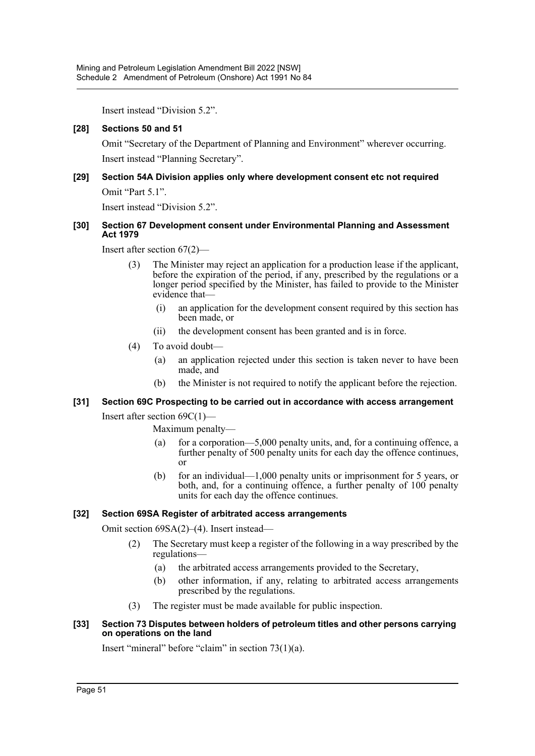Insert instead "Division 5.2".

#### **[28] Sections 50 and 51**

Omit "Secretary of the Department of Planning and Environment" wherever occurring. Insert instead "Planning Secretary".

### **[29] Section 54A Division applies only where development consent etc not required** Omit "Part 5.1".

Insert instead "Division 5.2".

#### **[30] Section 67 Development consent under Environmental Planning and Assessment Act 1979**

Insert after section 67(2)—

- (3) The Minister may reject an application for a production lease if the applicant, before the expiration of the period, if any, prescribed by the regulations or a longer period specified by the Minister, has failed to provide to the Minister evidence that—
	- (i) an application for the development consent required by this section has been made, or
	- (ii) the development consent has been granted and is in force.
- (4) To avoid doubt—
	- (a) an application rejected under this section is taken never to have been made, and
	- (b) the Minister is not required to notify the applicant before the rejection.

# **[31] Section 69C Prospecting to be carried out in accordance with access arrangement**

Insert after section 69C(1)—

Maximum penalty—

- (a) for a corporation—5,000 penalty units, and, for a continuing offence, a further penalty of 500 penalty units for each day the offence continues, or
- (b) for an individual—1,000 penalty units or imprisonment for 5 years, or both, and, for a continuing offence, a further penalty of 100 penalty units for each day the offence continues.

#### **[32] Section 69SA Register of arbitrated access arrangements**

Omit section 69SA(2)–(4). Insert instead—

- (2) The Secretary must keep a register of the following in a way prescribed by the regulations—
	- (a) the arbitrated access arrangements provided to the Secretary,
	- (b) other information, if any, relating to arbitrated access arrangements prescribed by the regulations.
- (3) The register must be made available for public inspection.

#### **[33] Section 73 Disputes between holders of petroleum titles and other persons carrying on operations on the land**

Insert "mineral" before "claim" in section 73(1)(a).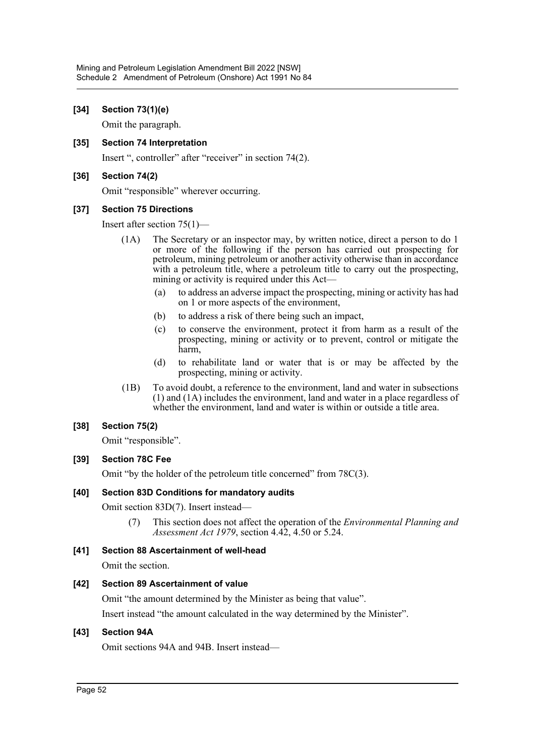#### **[34] Section 73(1)(e)**

Omit the paragraph.

#### **[35] Section 74 Interpretation**

Insert ", controller" after "receiver" in section 74(2).

#### **[36] Section 74(2)**

Omit "responsible" wherever occurring.

#### **[37] Section 75 Directions**

Insert after section 75(1)—

- (1A) The Secretary or an inspector may, by written notice, direct a person to do 1 or more of the following if the person has carried out prospecting for petroleum, mining petroleum or another activity otherwise than in accordance with a petroleum title, where a petroleum title to carry out the prospecting, mining or activity is required under this Act—
	- (a) to address an adverse impact the prospecting, mining or activity has had on 1 or more aspects of the environment,
	- (b) to address a risk of there being such an impact,
	- (c) to conserve the environment, protect it from harm as a result of the prospecting, mining or activity or to prevent, control or mitigate the harm,
	- (d) to rehabilitate land or water that is or may be affected by the prospecting, mining or activity.
- (1B) To avoid doubt, a reference to the environment, land and water in subsections (1) and (1A) includes the environment, land and water in a place regardless of whether the environment, land and water is within or outside a title area.

#### **[38] Section 75(2)**

Omit "responsible".

#### **[39] Section 78C Fee**

Omit "by the holder of the petroleum title concerned" from 78C(3).

#### **[40] Section 83D Conditions for mandatory audits**

Omit section 83D(7). Insert instead—

(7) This section does not affect the operation of the *Environmental Planning and Assessment Act 1979*, section 4.42, 4.50 or 5.24.

#### **[41] Section 88 Ascertainment of well-head**

Omit the section.

#### **[42] Section 89 Ascertainment of value**

Omit "the amount determined by the Minister as being that value".

Insert instead "the amount calculated in the way determined by the Minister".

#### **[43] Section 94A**

Omit sections 94A and 94B. Insert instead—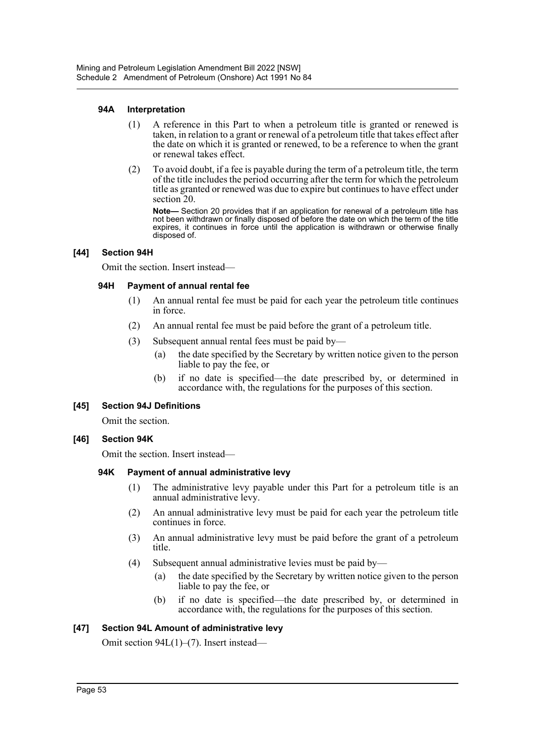#### **94A Interpretation**

- (1) A reference in this Part to when a petroleum title is granted or renewed is taken, in relation to a grant or renewal of a petroleum title that takes effect after the date on which it is granted or renewed, to be a reference to when the grant or renewal takes effect.
- (2) To avoid doubt, if a fee is payable during the term of a petroleum title, the term of the title includes the period occurring after the term for which the petroleum title as granted or renewed was due to expire but continues to have effect under section 20.

**Note—** Section 20 provides that if an application for renewal of a petroleum title has not been withdrawn or finally disposed of before the date on which the term of the title expires, it continues in force until the application is withdrawn or otherwise finally disposed of.

#### **[44] Section 94H**

Omit the section. Insert instead—

#### **94H Payment of annual rental fee**

- (1) An annual rental fee must be paid for each year the petroleum title continues in force.
- (2) An annual rental fee must be paid before the grant of a petroleum title.
- (3) Subsequent annual rental fees must be paid by—
	- (a) the date specified by the Secretary by written notice given to the person liable to pay the fee, or
	- (b) if no date is specified—the date prescribed by, or determined in accordance with, the regulations for the purposes of this section.

#### **[45] Section 94J Definitions**

Omit the section.

#### **[46] Section 94K**

Omit the section. Insert instead—

#### **94K Payment of annual administrative levy**

- (1) The administrative levy payable under this Part for a petroleum title is an annual administrative levy.
- (2) An annual administrative levy must be paid for each year the petroleum title continues in force.
- (3) An annual administrative levy must be paid before the grant of a petroleum title.
- (4) Subsequent annual administrative levies must be paid by—
	- (a) the date specified by the Secretary by written notice given to the person liable to pay the fee, or
	- (b) if no date is specified—the date prescribed by, or determined in accordance with, the regulations for the purposes of this section.

#### **[47] Section 94L Amount of administrative levy**

Omit section 94L(1)–(7). Insert instead—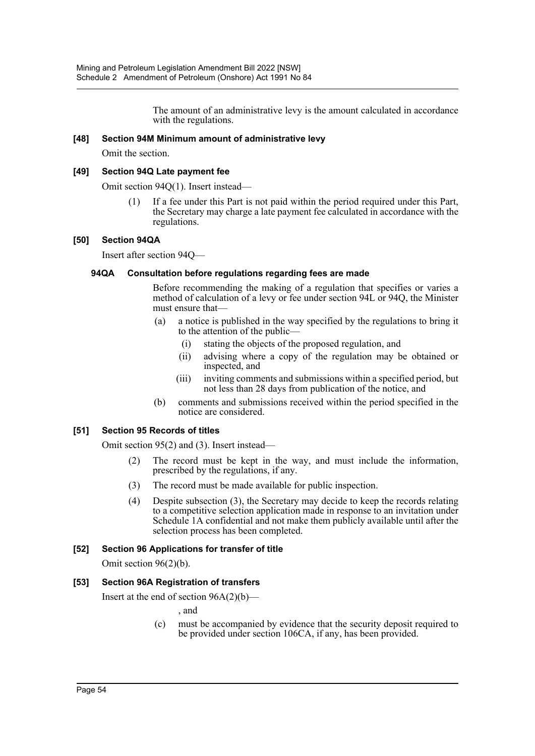The amount of an administrative levy is the amount calculated in accordance with the regulations.

#### **[48] Section 94M Minimum amount of administrative levy**

Omit the section.

#### **[49] Section 94Q Late payment fee**

Omit section 94Q(1). Insert instead—

(1) If a fee under this Part is not paid within the period required under this Part, the Secretary may charge a late payment fee calculated in accordance with the regulations.

#### **[50] Section 94QA**

Insert after section 94Q—

#### **94QA Consultation before regulations regarding fees are made**

Before recommending the making of a regulation that specifies or varies a method of calculation of a levy or fee under section 94L or 94Q, the Minister must ensure that—

- (a) a notice is published in the way specified by the regulations to bring it to the attention of the public—
	- (i) stating the objects of the proposed regulation, and
	- (ii) advising where a copy of the regulation may be obtained or inspected, and
	- (iii) inviting comments and submissions within a specified period, but not less than 28 days from publication of the notice, and
- (b) comments and submissions received within the period specified in the notice are considered.

#### **[51] Section 95 Records of titles**

Omit section 95(2) and (3). Insert instead—

- (2) The record must be kept in the way, and must include the information, prescribed by the regulations, if any.
- (3) The record must be made available for public inspection.
- (4) Despite subsection (3), the Secretary may decide to keep the records relating to a competitive selection application made in response to an invitation under Schedule 1A confidential and not make them publicly available until after the selection process has been completed.

#### **[52] Section 96 Applications for transfer of title**

Omit section 96(2)(b).

#### **[53] Section 96A Registration of transfers**

Insert at the end of section  $96A(2)(b)$ —

, and

(c) must be accompanied by evidence that the security deposit required to be provided under section 106CA, if any, has been provided.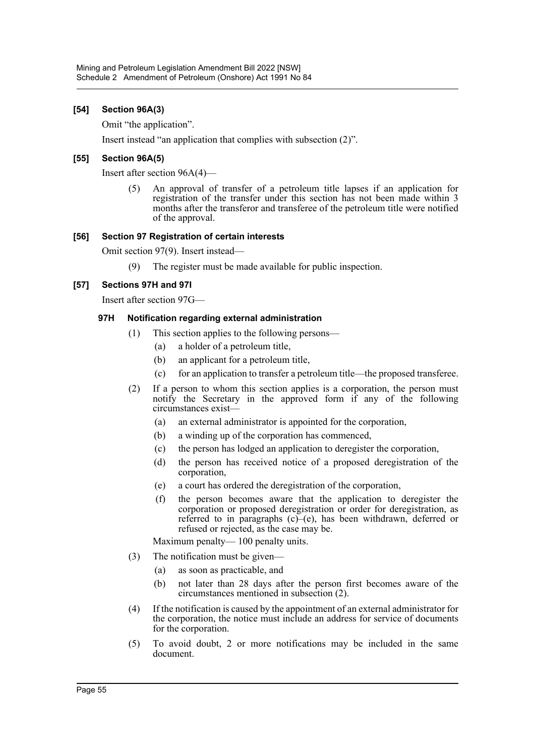#### **[54] Section 96A(3)**

Omit "the application".

Insert instead "an application that complies with subsection (2)".

#### **[55] Section 96A(5)**

Insert after section 96A(4)—

(5) An approval of transfer of a petroleum title lapses if an application for registration of the transfer under this section has not been made within 3 months after the transferor and transferee of the petroleum title were notified of the approval.

#### **[56] Section 97 Registration of certain interests**

Omit section 97(9). Insert instead—

(9) The register must be made available for public inspection.

#### **[57] Sections 97H and 97I**

Insert after section 97G—

#### **97H Notification regarding external administration**

- (1) This section applies to the following persons—
	- (a) a holder of a petroleum title,
	- (b) an applicant for a petroleum title,
	- (c) for an application to transfer a petroleum title—the proposed transferee.
- (2) If a person to whom this section applies is a corporation, the person must notify the Secretary in the approved form if any of the following circumstances exist—
	- (a) an external administrator is appointed for the corporation,
	- (b) a winding up of the corporation has commenced,
	- (c) the person has lodged an application to deregister the corporation,
	- (d) the person has received notice of a proposed deregistration of the corporation,
	- (e) a court has ordered the deregistration of the corporation,
	- (f) the person becomes aware that the application to deregister the corporation or proposed deregistration or order for deregistration, as referred to in paragraphs (c)–(e), has been withdrawn, deferred or refused or rejected, as the case may be.

Maximum penalty— 100 penalty units.

- (3) The notification must be given—
	- (a) as soon as practicable, and
	- (b) not later than 28 days after the person first becomes aware of the circumstances mentioned in subsection (2).
- (4) If the notification is caused by the appointment of an external administrator for the corporation, the notice must include an address for service of documents for the corporation.
- (5) To avoid doubt, 2 or more notifications may be included in the same document.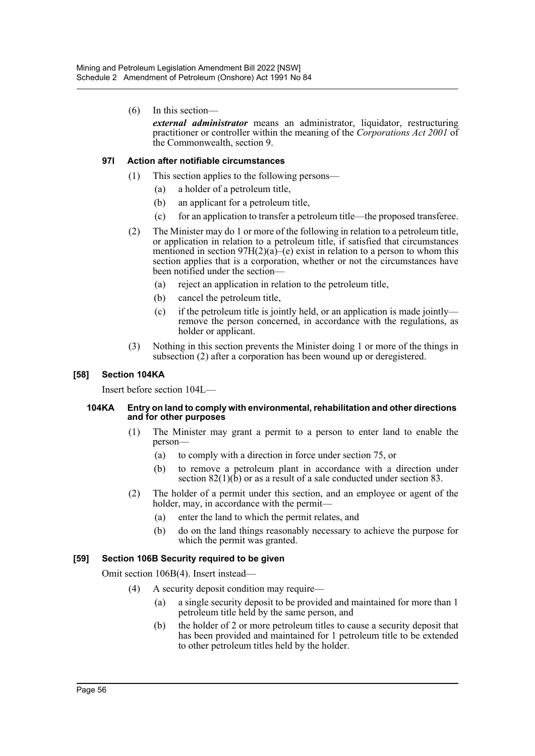(6) In this section—

*external administrator* means an administrator, liquidator, restructuring practitioner or controller within the meaning of the *Corporations Act 2001* of the Commonwealth, section 9.

#### **97I Action after notifiable circumstances**

- (1) This section applies to the following persons—
	- (a) a holder of a petroleum title,
	- (b) an applicant for a petroleum title,
	- (c) for an application to transfer a petroleum title—the proposed transferee.
- (2) The Minister may do 1 or more of the following in relation to a petroleum title, or application in relation to a petroleum title, if satisfied that circumstances mentioned in section  $97H(2)(a)$ –(e) exist in relation to a person to whom this section applies that is a corporation, whether or not the circumstances have been notified under the section—
	- (a) reject an application in relation to the petroleum title,
	- (b) cancel the petroleum title,
	- (c) if the petroleum title is jointly held, or an application is made jointly remove the person concerned, in accordance with the regulations, as holder or applicant.
- (3) Nothing in this section prevents the Minister doing 1 or more of the things in subsection (2) after a corporation has been wound up or deregistered.

#### **[58] Section 104KA**

Insert before section 104L—

#### **104KA Entry on land to comply with environmental, rehabilitation and other directions and for other purposes**

- (1) The Minister may grant a permit to a person to enter land to enable the person—
	- (a) to comply with a direction in force under section 75, or
	- (b) to remove a petroleum plant in accordance with a direction under section  $82(1)(\hat{b})$  or as a result of a sale conducted under section 83.
- (2) The holder of a permit under this section, and an employee or agent of the holder, may, in accordance with the permit-
	- (a) enter the land to which the permit relates, and
	- (b) do on the land things reasonably necessary to achieve the purpose for which the permit was granted.

#### **[59] Section 106B Security required to be given**

Omit section 106B(4). Insert instead—

- (4) A security deposit condition may require—
	- (a) a single security deposit to be provided and maintained for more than 1 petroleum title held by the same person, and
	- (b) the holder of 2 or more petroleum titles to cause a security deposit that has been provided and maintained for 1 petroleum title to be extended to other petroleum titles held by the holder.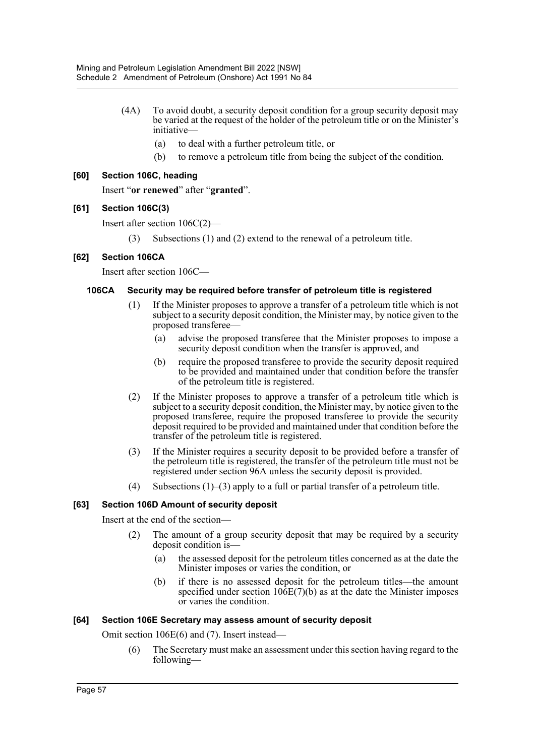- (4A) To avoid doubt, a security deposit condition for a group security deposit may be varied at the request of the holder of the petroleum title or on the Minister's initiative—
	- (a) to deal with a further petroleum title, or
	- (b) to remove a petroleum title from being the subject of the condition.

#### **[60] Section 106C, heading**

Insert "**or renewed**" after "**granted**".

#### **[61] Section 106C(3)**

Insert after section 106C(2)—

(3) Subsections (1) and (2) extend to the renewal of a petroleum title.

#### **[62] Section 106CA**

Insert after section 106C—

#### **106CA Security may be required before transfer of petroleum title is registered**

- (1) If the Minister proposes to approve a transfer of a petroleum title which is not subject to a security deposit condition, the Minister may, by notice given to the proposed transferee—
	- (a) advise the proposed transferee that the Minister proposes to impose a security deposit condition when the transfer is approved, and
	- (b) require the proposed transferee to provide the security deposit required to be provided and maintained under that condition before the transfer of the petroleum title is registered.
- (2) If the Minister proposes to approve a transfer of a petroleum title which is subject to a security deposit condition, the Minister may, by notice given to the proposed transferee, require the proposed transferee to provide the security deposit required to be provided and maintained under that condition before the transfer of the petroleum title is registered.
- (3) If the Minister requires a security deposit to be provided before a transfer of the petroleum title is registered, the transfer of the petroleum title must not be registered under section 96A unless the security deposit is provided.
- (4) Subsections (1)–(3) apply to a full or partial transfer of a petroleum title.

#### **[63] Section 106D Amount of security deposit**

Insert at the end of the section—

- (2) The amount of a group security deposit that may be required by a security deposit condition is-
	- (a) the assessed deposit for the petroleum titles concerned as at the date the Minister imposes or varies the condition, or
	- (b) if there is no assessed deposit for the petroleum titles—the amount specified under section  $106E(7)(b)$  as at the date the Minister imposes or varies the condition.

#### **[64] Section 106E Secretary may assess amount of security deposit**

Omit section 106E(6) and (7). Insert instead—

(6) The Secretary must make an assessment under this section having regard to the following—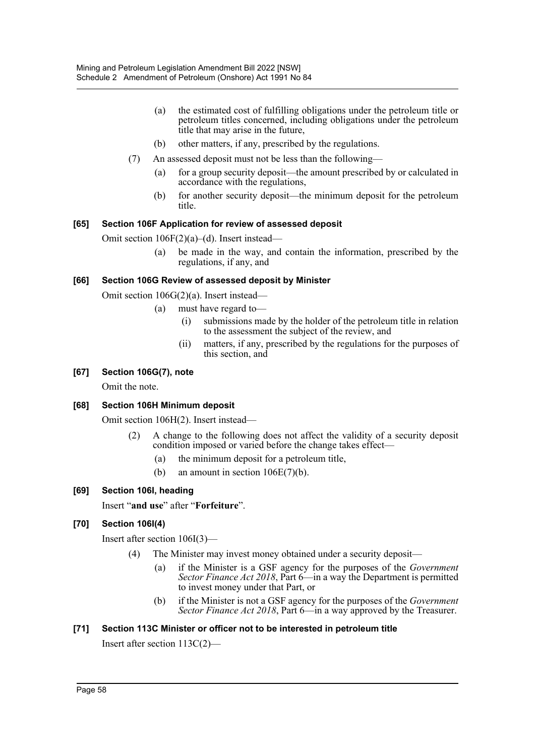- (a) the estimated cost of fulfilling obligations under the petroleum title or petroleum titles concerned, including obligations under the petroleum title that may arise in the future,
- (b) other matters, if any, prescribed by the regulations.
- (7) An assessed deposit must not be less than the following—
	- (a) for a group security deposit—the amount prescribed by or calculated in accordance with the regulations,
	- (b) for another security deposit—the minimum deposit for the petroleum title.

#### **[65] Section 106F Application for review of assessed deposit**

Omit section 106F(2)(a)–(d). Insert instead—

(a) be made in the way, and contain the information, prescribed by the regulations, if any, and

#### **[66] Section 106G Review of assessed deposit by Minister**

Omit section 106G(2)(a). Insert instead—

- (a) must have regard to—
	- (i) submissions made by the holder of the petroleum title in relation to the assessment the subject of the review, and
	- (ii) matters, if any, prescribed by the regulations for the purposes of this section, and

#### **[67] Section 106G(7), note**

Omit the note.

#### **[68] Section 106H Minimum deposit**

Omit section 106H(2). Insert instead—

- (2) A change to the following does not affect the validity of a security deposit condition imposed or varied before the change takes effect—
	- (a) the minimum deposit for a petroleum title,
	- (b) an amount in section  $106E(7)(b)$ .

#### **[69] Section 106I, heading**

Insert "**and use**" after "**Forfeiture**".

#### **[70] Section 106I(4)**

Insert after section 106I(3)—

- (4) The Minister may invest money obtained under a security deposit—
	- (a) if the Minister is a GSF agency for the purposes of the *Government Sector Finance Act 2018*, Part 6—in a way the Department is permitted to invest money under that Part, or
	- (b) if the Minister is not a GSF agency for the purposes of the *Government Sector Finance Act 2018*, Part 6—in a way approved by the Treasurer.

#### **[71] Section 113C Minister or officer not to be interested in petroleum title**

Insert after section 113C(2)—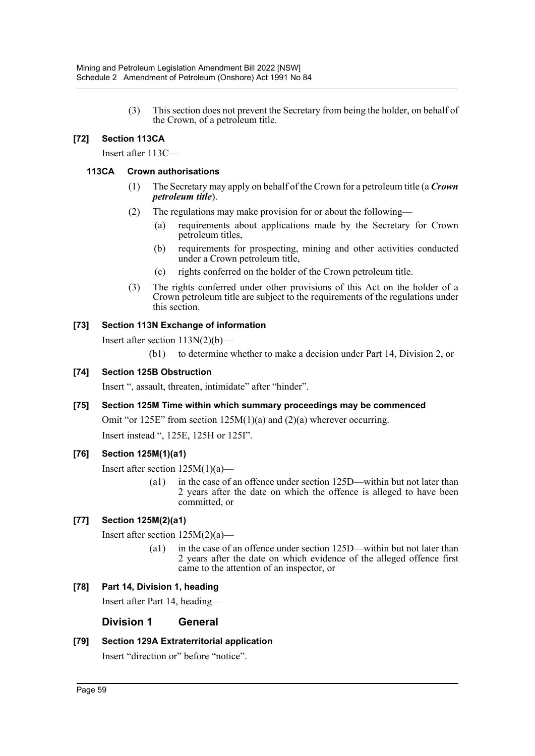(3) This section does not prevent the Secretary from being the holder, on behalf of the Crown, of a petroleum title.

### **[72] Section 113CA**

Insert after 113C—

#### **113CA Crown authorisations**

- (1) The Secretary may apply on behalf of the Crown for a petroleum title (a *Crown petroleum title*).
- (2) The regulations may make provision for or about the following—
	- (a) requirements about applications made by the Secretary for Crown petroleum titles,
	- (b) requirements for prospecting, mining and other activities conducted under a Crown petroleum title,
	- (c) rights conferred on the holder of the Crown petroleum title.
- (3) The rights conferred under other provisions of this Act on the holder of a Crown petroleum title are subject to the requirements of the regulations under this section.

#### **[73] Section 113N Exchange of information**

Insert after section 113N(2)(b)—

(b1) to determine whether to make a decision under Part 14, Division 2, or

#### **[74] Section 125B Obstruction**

Insert ", assault, threaten, intimidate" after "hinder".

#### **[75] Section 125M Time within which summary proceedings may be commenced**

Omit "or 125E" from section 125M(1)(a) and (2)(a) wherever occurring. Insert instead ", 125E, 125H or 125I".

#### **[76] Section 125M(1)(a1)**

Insert after section  $125M(1)(a)$ —

(a1) in the case of an offence under section 125D—within but not later than 2 years after the date on which the offence is alleged to have been committed, or

#### **[77] Section 125M(2)(a1)**

Insert after section 125M(2)(a)—

(a1) in the case of an offence under section 125D—within but not later than 2 years after the date on which evidence of the alleged offence first came to the attention of an inspector, or

#### **[78] Part 14, Division 1, heading**

Insert after Part 14, heading—

#### **Division 1 General**

#### **[79] Section 129A Extraterritorial application**

Insert "direction or" before "notice".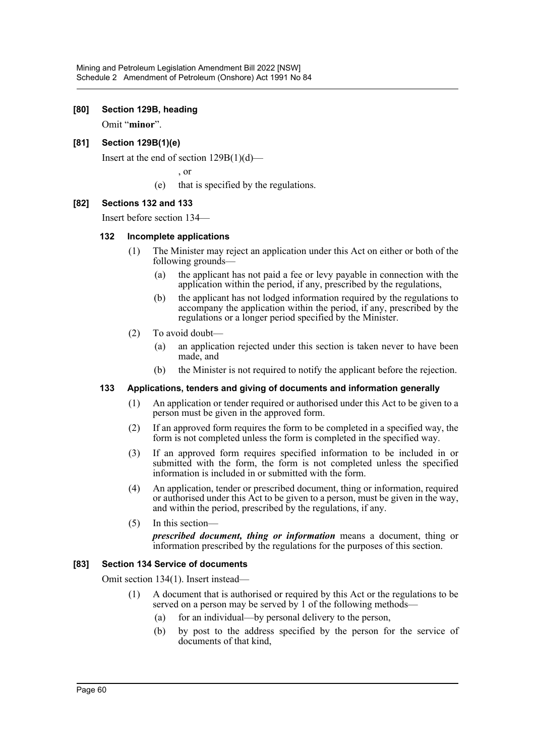#### **[80] Section 129B, heading**

Omit "**minor**".

#### **[81] Section 129B(1)(e)**

Insert at the end of section  $129B(1)(d)$ —

, or

(e) that is specified by the regulations.

#### **[82] Sections 132 and 133**

Insert before section 134—

#### **132 Incomplete applications**

- (1) The Minister may reject an application under this Act on either or both of the following grounds—
	- (a) the applicant has not paid a fee or levy payable in connection with the application within the period, if any, prescribed by the regulations,
	- (b) the applicant has not lodged information required by the regulations to accompany the application within the period, if any, prescribed by the regulations or a longer period specified by the Minister.
- (2) To avoid doubt—
	- (a) an application rejected under this section is taken never to have been made, and
	- (b) the Minister is not required to notify the applicant before the rejection.

#### **133 Applications, tenders and giving of documents and information generally**

- (1) An application or tender required or authorised under this Act to be given to a person must be given in the approved form.
- (2) If an approved form requires the form to be completed in a specified way, the form is not completed unless the form is completed in the specified way.
- (3) If an approved form requires specified information to be included in or submitted with the form, the form is not completed unless the specified information is included in or submitted with the form.
- (4) An application, tender or prescribed document, thing or information, required or authorised under this Act to be given to a person, must be given in the way, and within the period, prescribed by the regulations, if any.
- (5) In this section—

*prescribed document, thing or information* means a document, thing or information prescribed by the regulations for the purposes of this section.

#### **[83] Section 134 Service of documents**

Omit section 134(1). Insert instead—

- (1) A document that is authorised or required by this Act or the regulations to be served on a person may be served by 1 of the following methods–
	- (a) for an individual—by personal delivery to the person,
	- (b) by post to the address specified by the person for the service of documents of that kind,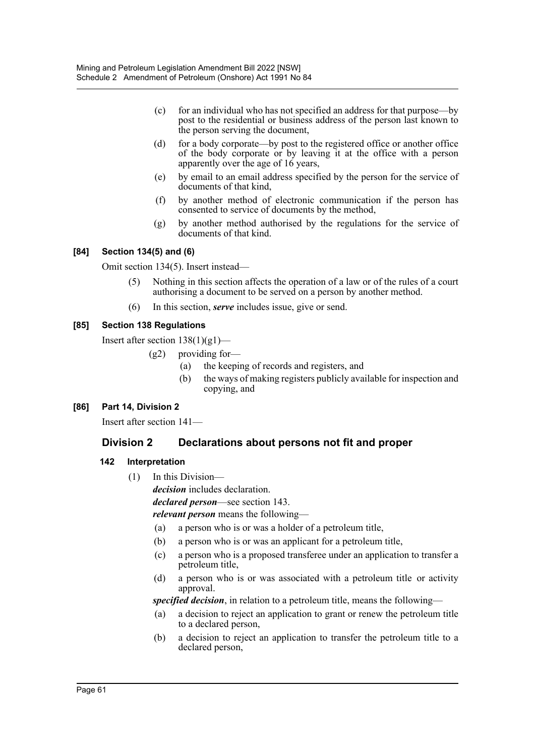- (c) for an individual who has not specified an address for that purpose—by post to the residential or business address of the person last known to the person serving the document,
- (d) for a body corporate—by post to the registered office or another office of the body corporate or by leaving it at the office with a person apparently over the age of 16 years,
- (e) by email to an email address specified by the person for the service of documents of that kind,
- (f) by another method of electronic communication if the person has consented to service of documents by the method,
- (g) by another method authorised by the regulations for the service of documents of that kind.

#### **[84] Section 134(5) and (6)**

Omit section 134(5). Insert instead—

- (5) Nothing in this section affects the operation of a law or of the rules of a court authorising a document to be served on a person by another method.
- (6) In this section, *serve* includes issue, give or send.

#### **[85] Section 138 Regulations**

Insert after section  $138(1)(g1)$ —

- (g2) providing for—
	- (a) the keeping of records and registers, and
	- (b) the ways of making registers publicly available for inspection and copying, and

# **[86] Part 14, Division 2**

Insert after section 141—

# **Division 2 Declarations about persons not fit and proper**

#### **142 Interpretation**

(1) In this Division—

*decision* includes declaration.

*declared person*—see section 143.

*relevant person* means the following—

- (a) a person who is or was a holder of a petroleum title,
- (b) a person who is or was an applicant for a petroleum title,
- (c) a person who is a proposed transferee under an application to transfer a petroleum title,
- (d) a person who is or was associated with a petroleum title or activity approval.

*specified decision*, in relation to a petroleum title, means the following—

- (a) a decision to reject an application to grant or renew the petroleum title to a declared person,
- (b) a decision to reject an application to transfer the petroleum title to a declared person,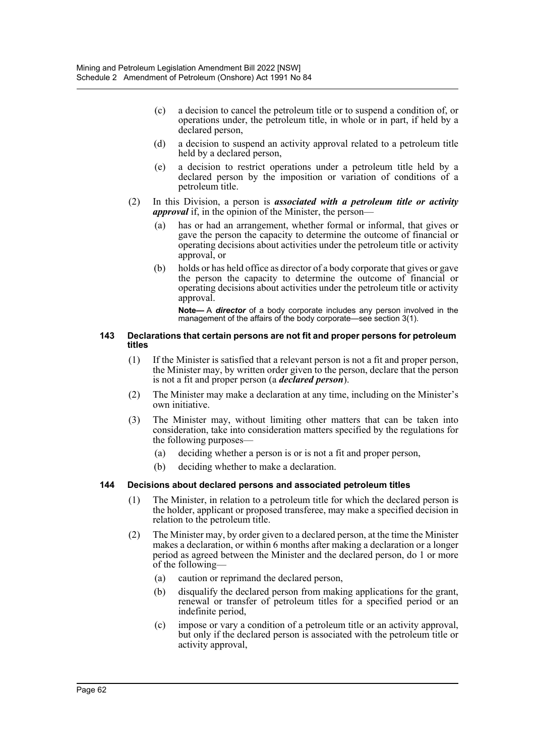- (c) a decision to cancel the petroleum title or to suspend a condition of, or operations under, the petroleum title, in whole or in part, if held by a declared person,
- (d) a decision to suspend an activity approval related to a petroleum title held by a declared person,
- (e) a decision to restrict operations under a petroleum title held by a declared person by the imposition or variation of conditions of a petroleum title.
- (2) In this Division, a person is *associated with a petroleum title or activity approval* if, in the opinion of the Minister, the person—
	- (a) has or had an arrangement, whether formal or informal, that gives or gave the person the capacity to determine the outcome of financial or operating decisions about activities under the petroleum title or activity approval, or
	- (b) holds or has held office as director of a body corporate that gives or gave the person the capacity to determine the outcome of financial or operating decisions about activities under the petroleum title or activity approval.

**Note—** A *director* of a body corporate includes any person involved in the management of the affairs of the body corporate—see section 3(1).

#### **143 Declarations that certain persons are not fit and proper persons for petroleum titles**

- (1) If the Minister is satisfied that a relevant person is not a fit and proper person, the Minister may, by written order given to the person, declare that the person is not a fit and proper person (a *declared person*).
- (2) The Minister may make a declaration at any time, including on the Minister's own initiative.
- (3) The Minister may, without limiting other matters that can be taken into consideration, take into consideration matters specified by the regulations for the following purposes—
	- (a) deciding whether a person is or is not a fit and proper person,
	- (b) deciding whether to make a declaration.

#### **144 Decisions about declared persons and associated petroleum titles**

- (1) The Minister, in relation to a petroleum title for which the declared person is the holder, applicant or proposed transferee, may make a specified decision in relation to the petroleum title.
- (2) The Minister may, by order given to a declared person, at the time the Minister makes a declaration, or within 6 months after making a declaration or a longer period as agreed between the Minister and the declared person, do 1 or more of the following—
	- (a) caution or reprimand the declared person,
	- (b) disqualify the declared person from making applications for the grant, renewal or transfer of petroleum titles for a specified period or an indefinite period,
	- (c) impose or vary a condition of a petroleum title or an activity approval, but only if the declared person is associated with the petroleum title or activity approval,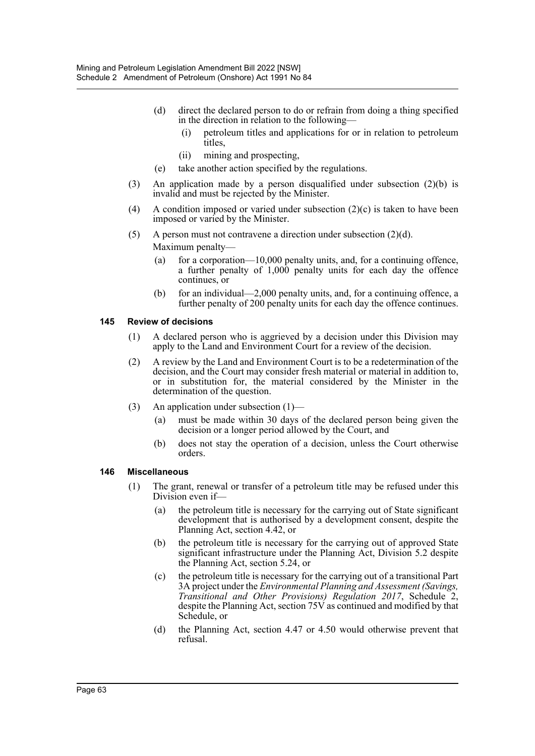- (d) direct the declared person to do or refrain from doing a thing specified in the direction in relation to the following—
	- (i) petroleum titles and applications for or in relation to petroleum titles,
	- (ii) mining and prospecting,
- (e) take another action specified by the regulations.
- (3) An application made by a person disqualified under subsection (2)(b) is invalid and must be rejected by the Minister.
- (4) A condition imposed or varied under subsection  $(2)(c)$  is taken to have been imposed or varied by the Minister.
- (5) A person must not contravene a direction under subsection  $(2)(d)$ . Maximum penalty—
	- (a) for a corporation—10,000 penalty units, and, for a continuing offence, a further penalty of 1,000 penalty units for each day the offence continues, or
	- (b) for an individual—2,000 penalty units, and, for a continuing offence, a further penalty of 200 penalty units for each day the offence continues.

#### **145 Review of decisions**

- (1) A declared person who is aggrieved by a decision under this Division may apply to the Land and Environment Court for a review of the decision.
- (2) A review by the Land and Environment Court is to be a redetermination of the decision, and the Court may consider fresh material or material in addition to, or in substitution for, the material considered by the Minister in the determination of the question.
- (3) An application under subsection (1)—
	- (a) must be made within 30 days of the declared person being given the decision or a longer period allowed by the Court, and
	- (b) does not stay the operation of a decision, unless the Court otherwise orders.

#### **146 Miscellaneous**

- (1) The grant, renewal or transfer of a petroleum title may be refused under this Division even if—
	- (a) the petroleum title is necessary for the carrying out of State significant development that is authorised by a development consent, despite the Planning Act, section 4.42, or
	- (b) the petroleum title is necessary for the carrying out of approved State significant infrastructure under the Planning Act, Division 5.2 despite the Planning Act, section 5.24, or
	- (c) the petroleum title is necessary for the carrying out of a transitional Part 3A project under the *Environmental Planning and Assessment (Savings, Transitional and Other Provisions) Regulation 2017*, Schedule 2, despite the Planning Act, section 75V as continued and modified by that Schedule, or
	- (d) the Planning Act, section 4.47 or 4.50 would otherwise prevent that refusal.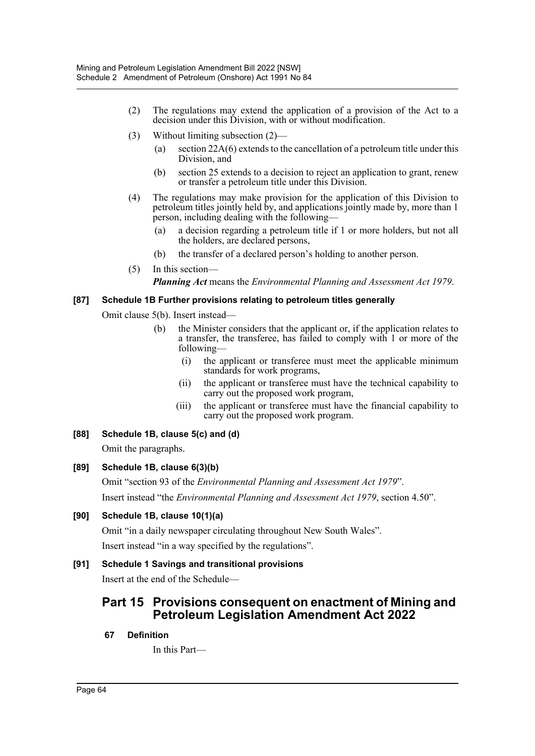- (2) The regulations may extend the application of a provision of the Act to a decision under this Division, with or without modification.
- (3) Without limiting subsection (2)—
	- (a) section 22A(6) extends to the cancellation of a petroleum title under this Division, and
	- (b) section 25 extends to a decision to reject an application to grant, renew or transfer a petroleum title under this Division.
- (4) The regulations may make provision for the application of this Division to petroleum titles jointly held by, and applications jointly made by, more than 1 person, including dealing with the following—
	- (a) a decision regarding a petroleum title if 1 or more holders, but not all the holders, are declared persons,
	- (b) the transfer of a declared person's holding to another person.
- (5) In this section— *Planning Act* means the *Environmental Planning and Assessment Act 1979*.

#### **[87] Schedule 1B Further provisions relating to petroleum titles generally**

Omit clause 5(b). Insert instead—

- (b) the Minister considers that the applicant or, if the application relates to a transfer, the transferee, has failed to comply with 1 or more of the following—
	- (i) the applicant or transferee must meet the applicable minimum standards for work programs,
	- (ii) the applicant or transferee must have the technical capability to carry out the proposed work program,
	- (iii) the applicant or transferee must have the financial capability to carry out the proposed work program.
- **[88] Schedule 1B, clause 5(c) and (d)**

Omit the paragraphs.

#### **[89] Schedule 1B, clause 6(3)(b)**

Omit "section 93 of the *Environmental Planning and Assessment Act 1979*". Insert instead "the *Environmental Planning and Assessment Act 1979*, section 4.50".

# **[90] Schedule 1B, clause 10(1)(a)**

Omit "in a daily newspaper circulating throughout New South Wales". Insert instead "in a way specified by the regulations".

# **[91] Schedule 1 Savings and transitional provisions**

Insert at the end of the Schedule—

# **Part 15 Provisions consequent on enactment of Mining and Petroleum Legislation Amendment Act 2022**

#### **67 Definition**

In this Part—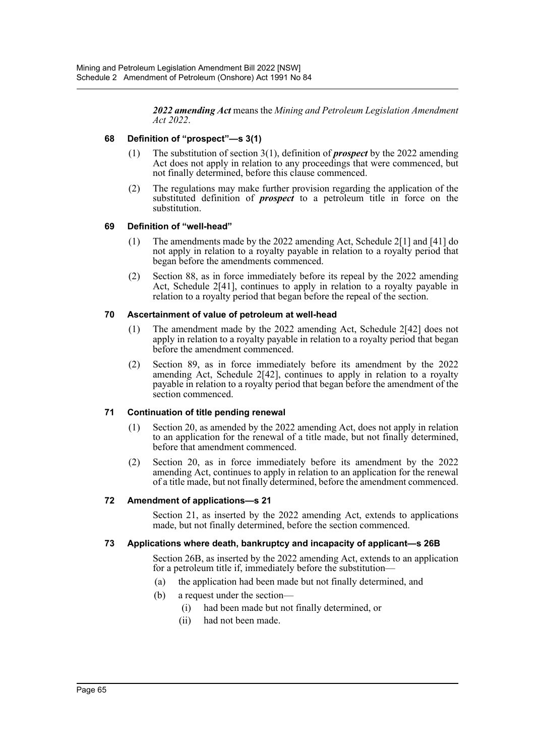*2022 amending Act* means the *Mining and Petroleum Legislation Amendment Act 2022*.

#### **68 Definition of "prospect"—s 3(1)**

- (1) The substitution of section 3(1), definition of *prospect* by the 2022 amending Act does not apply in relation to any proceedings that were commenced, but not finally determined, before this clause commenced.
- (2) The regulations may make further provision regarding the application of the substituted definition of *prospect* to a petroleum title in force on the substitution.

#### **69 Definition of "well-head"**

- (1) The amendments made by the 2022 amending Act, Schedule 2[1] and [41] do not apply in relation to a royalty payable in relation to a royalty period that began before the amendments commenced.
- (2) Section 88, as in force immediately before its repeal by the 2022 amending Act, Schedule 2[41], continues to apply in relation to a royalty payable in relation to a royalty period that began before the repeal of the section.

#### **70 Ascertainment of value of petroleum at well-head**

- (1) The amendment made by the 2022 amending Act, Schedule 2[42] does not apply in relation to a royalty payable in relation to a royalty period that began before the amendment commenced.
- (2) Section 89, as in force immediately before its amendment by the 2022 amending Act, Schedule 2[42], continues to apply in relation to a royalty payable in relation to a royalty period that began before the amendment of the section commenced.

#### **71 Continuation of title pending renewal**

- (1) Section 20, as amended by the 2022 amending Act, does not apply in relation to an application for the renewal of a title made, but not finally determined, before that amendment commenced.
- (2) Section 20, as in force immediately before its amendment by the 2022 amending Act, continues to apply in relation to an application for the renewal of a title made, but not finally determined, before the amendment commenced.

#### **72 Amendment of applications—s 21**

Section 21, as inserted by the 2022 amending Act, extends to applications made, but not finally determined, before the section commenced.

#### **73 Applications where death, bankruptcy and incapacity of applicant—s 26B**

Section 26B, as inserted by the 2022 amending Act, extends to an application for a petroleum title if, immediately before the substitution—

- (a) the application had been made but not finally determined, and
- (b) a request under the section—
	- (i) had been made but not finally determined, or
	- (ii) had not been made.